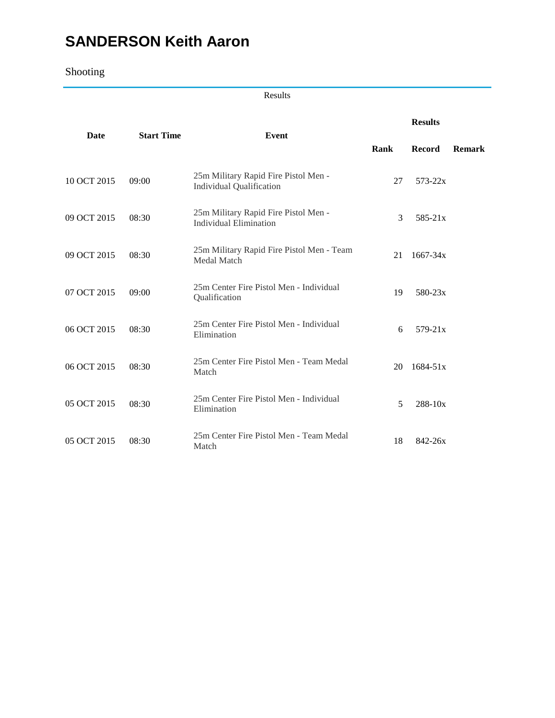# **SANDERSON Keith Aaron**

## Shooting

Results

|             | <b>Start Time</b> |                                                                         |      | <b>Results</b> |               |  |
|-------------|-------------------|-------------------------------------------------------------------------|------|----------------|---------------|--|
| Date        |                   | Event                                                                   | Rank | <b>Record</b>  | <b>Remark</b> |  |
| 10 OCT 2015 | 09:00             | 25m Military Rapid Fire Pistol Men -<br><b>Individual Qualification</b> | 27   | $573 - 22x$    |               |  |
| 09 OCT 2015 | 08:30             | 25m Military Rapid Fire Pistol Men -<br><b>Individual Elimination</b>   | 3    | $585 - 21x$    |               |  |
| 09 OCT 2015 | 08:30             | 25m Military Rapid Fire Pistol Men - Team<br>Medal Match                | 21   | $1667 - 34x$   |               |  |
| 07 OCT 2015 | 09:00             | 25m Center Fire Pistol Men - Individual<br>Qualification                | 19   | $580 - 23x$    |               |  |
| 06 OCT 2015 | 08:30             | 25m Center Fire Pistol Men - Individual<br>Elimination                  | 6    | $579 - 21x$    |               |  |
| 06 OCT 2015 | 08:30             | 25m Center Fire Pistol Men - Team Medal<br>Match                        | 20   | $1684 - 51x$   |               |  |
| 05 OCT 2015 | 08:30             | 25m Center Fire Pistol Men - Individual<br>Elimination                  | 5    | $288 - 10x$    |               |  |
| 05 OCT 2015 | 08:30             | 25m Center Fire Pistol Men - Team Medal<br>Match                        | 18   | $842 - 26x$    |               |  |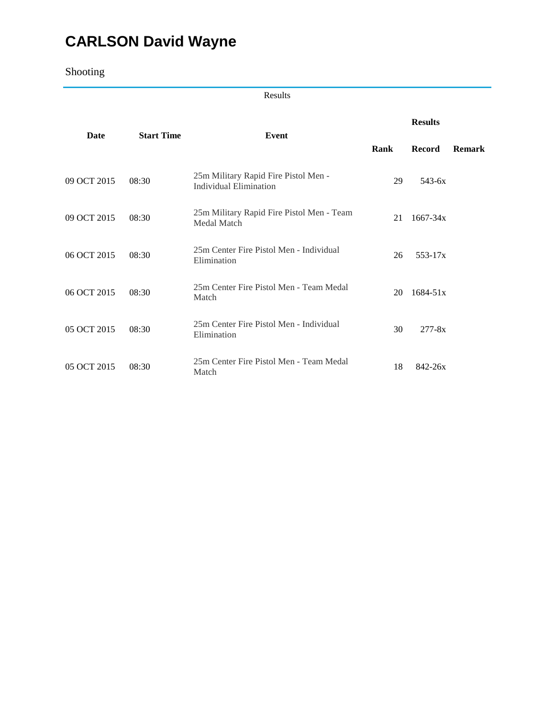# **CARLSON David Wayne**

## Shooting

Results

|             |                   |                                                                       |      | <b>Results</b> |               |  |
|-------------|-------------------|-----------------------------------------------------------------------|------|----------------|---------------|--|
| Date        | <b>Start Time</b> | Event                                                                 | Rank | <b>Record</b>  | <b>Remark</b> |  |
| 09 OCT 2015 | 08:30             | 25m Military Rapid Fire Pistol Men -<br><b>Individual Elimination</b> | 29   | $543 - 6x$     |               |  |
| 09 OCT 2015 | 08:30             | 25m Military Rapid Fire Pistol Men - Team<br>Medal Match              | 21   | $1667 - 34x$   |               |  |
| 06 OCT 2015 | 08:30             | 25m Center Fire Pistol Men - Individual<br>Elimination                | 26   | $553 - 17x$    |               |  |
| 06 OCT 2015 | 08:30             | 25m Center Fire Pistol Men - Team Medal<br>Match                      | 20   | $1684 - 51x$   |               |  |
| 05 OCT 2015 | 08:30             | 25m Center Fire Pistol Men - Individual<br>Elimination                | 30   | $277 - 8x$     |               |  |
| 05 OCT 2015 | 08:30             | 25m Center Fire Pistol Men - Team Medal<br>Match                      | 18   | $842 - 26x$    |               |  |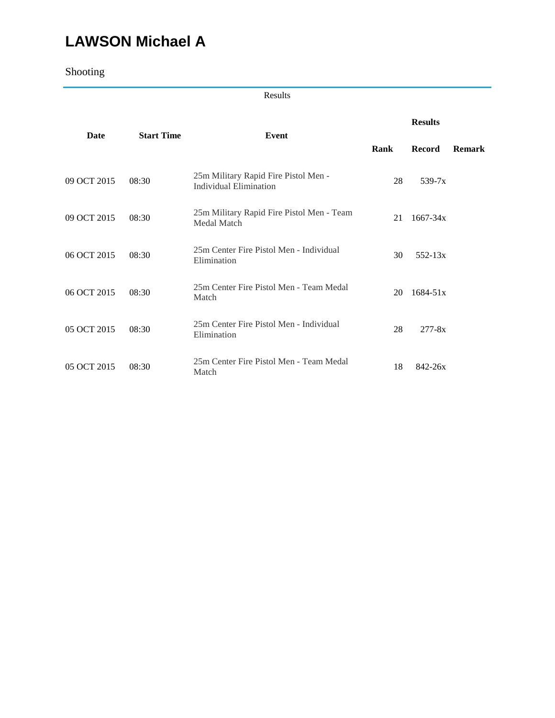# **LAWSON Michael A**

Shooting

Results

|             |                   |                                                                       |      | <b>Results</b> |               |  |
|-------------|-------------------|-----------------------------------------------------------------------|------|----------------|---------------|--|
| Date        | <b>Start Time</b> | Event                                                                 | Rank | <b>Record</b>  | <b>Remark</b> |  |
| 09 OCT 2015 | 08:30             | 25m Military Rapid Fire Pistol Men -<br><b>Individual Elimination</b> | 28   | $539-7x$       |               |  |
| 09 OCT 2015 | 08:30             | 25m Military Rapid Fire Pistol Men - Team<br>Medal Match              | 21   | $1667 - 34x$   |               |  |
| 06 OCT 2015 | 08:30             | 25m Center Fire Pistol Men - Individual<br>Elimination                | 30   | $552 - 13x$    |               |  |
| 06 OCT 2015 | 08:30             | 25m Center Fire Pistol Men - Team Medal<br>Match                      | 20   | $1684 - 51x$   |               |  |
| 05 OCT 2015 | 08:30             | 25m Center Fire Pistol Men - Individual<br>Elimination                | 28   | $277 - 8x$     |               |  |
| 05 OCT 2015 | 08:30             | 25m Center Fire Pistol Men - Team Medal<br>Match                      | 18   | $842 - 26x$    |               |  |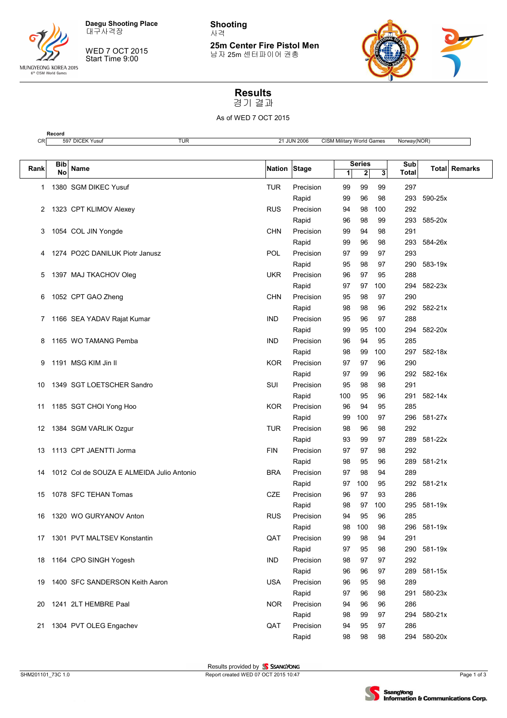

**Record**

WED 7 OCT 2015

Start Time 9:00

**Shooting** 사격

**25m Center Fire Pistol Men** 남자 25m 센터파이어 권총



# **Results**

경기 결과

As of WED 7 OCT 2015

| CR   |           | 597 DICEK Yusuf<br>TUR                    |              | 21 JUN 2006 | CISM Military World Games |               |              | Norway(NOR)         |             |               |
|------|-----------|-------------------------------------------|--------------|-------------|---------------------------|---------------|--------------|---------------------|-------------|---------------|
|      |           |                                           |              |             |                           |               |              |                     |             |               |
| Rank | Bib<br>No | Name                                      | Nation Stage |             |                           | <b>Series</b> |              | Sub<br><b>Total</b> |             | Total Remarks |
|      |           |                                           |              |             | $\mathbf{1}$              | $\mathbf{z}$  | $\mathbf{3}$ |                     |             |               |
| 1    |           | 1380 SGM DIKEC Yusuf                      | TUR          | Precision   | 99                        | 99            | 99           | 297                 |             |               |
|      |           |                                           |              | Rapid       | 99                        | 96            | 98           | 293                 | 590-25x     |               |
| 2    |           | 1323 CPT KLIMOV Alexey                    | <b>RUS</b>   | Precision   | 94                        | 98            | 100          | 292                 |             |               |
|      |           |                                           |              | Rapid       | 96                        | 98            | 99           | 293                 | 585-20x     |               |
| 3    |           | 1054 COL JIN Yongde                       | <b>CHN</b>   | Precision   | 99                        | 94            | 98           | 291                 |             |               |
|      |           |                                           |              | Rapid       | 99                        | 96            | 98           | 293                 | 584-26x     |               |
| 4    |           | 1274 PO2C DANILUK Piotr Janusz            | POL          | Precision   | 97                        | 99            | 97           | 293                 |             |               |
|      |           |                                           |              | Rapid       | 95                        | 98            | 97           | 290                 | 583-19x     |               |
| 5    |           | 1397 MAJ TKACHOV Oleg                     | <b>UKR</b>   | Precision   | 96                        | 97            | 95           | 288                 |             |               |
|      |           |                                           |              | Rapid       | 97                        | 97            | 100          | 294                 | 582-23x     |               |
| 6    |           | 1052 CPT GAO Zheng                        | <b>CHN</b>   | Precision   | 95                        | 98            | 97           | 290                 |             |               |
|      |           |                                           |              | Rapid       | 98                        | 98            | 96           | 292                 | 582-21x     |               |
| 7    |           | 1166 SEA YADAV Rajat Kumar                | IND          | Precision   | 95                        | 96            | 97           | 288                 |             |               |
|      |           |                                           |              | Rapid       | 99                        | 95            | 100          | 294                 | 582-20x     |               |
| 8    |           | 1165 WO TAMANG Pemba                      | <b>IND</b>   | Precision   | 96                        | 94            | 95           | 285                 |             |               |
|      |           |                                           |              | Rapid       | 98                        | 99            | 100          | 297                 | 582-18x     |               |
| 9    |           | 1191 MSG KIM Jin II                       | <b>KOR</b>   | Precision   | 97                        | 97            | 96           | 290                 |             |               |
|      |           |                                           |              | Rapid       | 97                        | 99            | 96           | 292                 | 582-16x     |               |
| 10   |           | 1349 SGT LOETSCHER Sandro                 | SUI          | Precision   | 95                        | 98            | 98           | 291                 |             |               |
|      |           |                                           |              | Rapid       | 100                       | 95            | 96           | 291                 | 582-14x     |               |
| 11   |           | 1185 SGT CHOI Yong Hoo                    | <b>KOR</b>   | Precision   | 96                        | 94            | 95           | 285                 |             |               |
|      |           |                                           |              | Rapid       | 99                        | 100           | 97           | 296                 | 581-27x     |               |
| 12   |           | 1384 SGM VARLIK Ozgur                     | <b>TUR</b>   | Precision   | 98                        | 96            | 98           | 292                 |             |               |
|      |           |                                           |              | Rapid       | 93                        | 99            | 97           | 289                 | 581-22x     |               |
| 13   |           | 1113 CPT JAENTTI Jorma                    | FIN          | Precision   | 97                        | 97            | 98           | 292                 |             |               |
|      |           |                                           |              | Rapid       | 98                        | 95            | 96           | 289                 | 581-21x     |               |
| 14   |           | 1012 Col de SOUZA E ALMEIDA Julio Antonio | <b>BRA</b>   | Precision   | 97                        | 98            | 94           | 289                 |             |               |
|      |           |                                           |              | Rapid       | 97                        | 100           | 95           | 292                 | 581-21x     |               |
| 15   |           | 1078 SFC TEHAN Tomas                      | <b>CZE</b>   | Precision   | 96                        | 97            | 93           | 286                 |             |               |
|      |           |                                           |              | Rapid       | 98                        | 97            | 100          | 295                 | 581-19x     |               |
| 16   |           | 1320 WO GURYANOV Anton                    | <b>RUS</b>   | Precision   | 94                        | 95            | 96           | 285                 |             |               |
|      |           |                                           |              | Rapid       | 98                        | 100           | 98           |                     | 296 581-19x |               |
| 17   |           | 1301 PVT MALTSEV Konstantin               | QAT          | Precision   | 99                        | 98            | 94           | 291                 |             |               |
|      |           |                                           |              | Rapid       | 97                        | 95            | 98           | 290                 | 581-19x     |               |
| 18   |           | 1164 CPO SINGH Yogesh                     | <b>IND</b>   | Precision   | 98                        | 97            | 97           | 292                 |             |               |
|      |           |                                           |              | Rapid       | 96                        | 96            | 97           | 289                 | 581-15x     |               |
| 19   |           | 1400 SFC SANDERSON Keith Aaron            | USA          | Precision   | 96                        | 95            | 98           | 289                 |             |               |
|      |           |                                           |              | Rapid       | 97                        | 96            | 98           | 291                 | 580-23x     |               |
| 20   |           | 1241 2LT HEMBRE Paal                      | <b>NOR</b>   | Precision   | 94                        | 96            | 96           | 286                 |             |               |
|      |           |                                           |              | Rapid       | 98                        | 99            | 97           | 294                 | 580-21x     |               |
| 21   |           | 1304 PVT OLEG Engachev                    | QAT          | Precision   | 94                        | 95            | 97           | 286                 |             |               |
|      |           |                                           |              | Rapid       | 98                        | 98            | 98           |                     | 294 580-20x |               |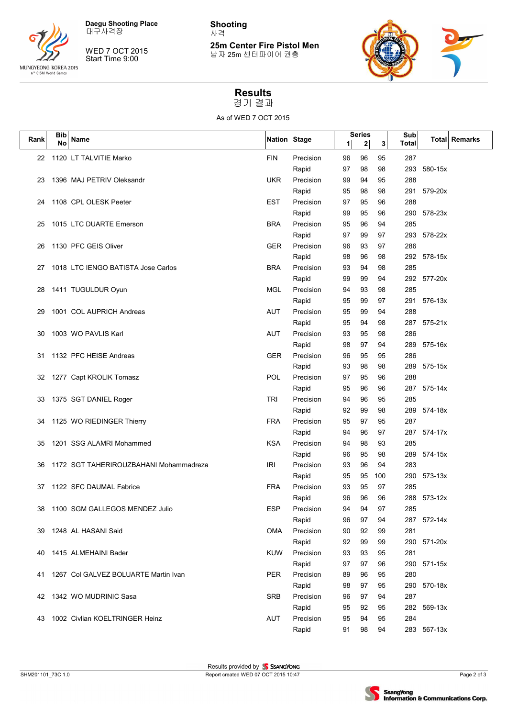

WED 7 OCT 2015

Start Time 9:00

**Shooting** 사격

**25m Center Fire Pistol Men** 남자 25m 센터파이어 권총



#### **Results** 경기 결과

As of WED 7 OCT 2015

| Bib  |    |                                        |              |           |    | <b>Series</b> |     | Sub          |             |                      |
|------|----|----------------------------------------|--------------|-----------|----|---------------|-----|--------------|-------------|----------------------|
| Rank | No | Name                                   | Nation Stage |           | 1  | 2             | 3   | <b>Total</b> |             | <b>Total Remarks</b> |
| 22   |    | 1120 LT TALVITIE Marko                 | <b>FIN</b>   | Precision | 96 | 96            | 95  | 287          |             |                      |
|      |    |                                        |              | Rapid     | 97 | 98            | 98  | 293          | 580-15x     |                      |
| 23   |    | 1396 MAJ PETRIV Oleksandr              | <b>UKR</b>   | Precision | 99 | 94            | 95  | 288          |             |                      |
|      |    |                                        |              | Rapid     | 95 | 98            | 98  | 291          | 579-20x     |                      |
| 24   |    | 1108 CPL OLESK Peeter                  | <b>EST</b>   | Precision | 97 | 95            | 96  | 288          |             |                      |
|      |    |                                        |              | Rapid     | 99 | 95            | 96  | 290          | 578-23x     |                      |
| 25   |    | 1015 LTC DUARTE Emerson                | <b>BRA</b>   | Precision | 95 | 96            | 94  | 285          |             |                      |
|      |    |                                        |              | Rapid     | 97 | 99            | 97  | 293          | 578-22x     |                      |
| 26   |    | 1130 PFC GEIS Oliver                   | <b>GER</b>   | Precision | 96 | 93            | 97  | 286          |             |                      |
|      |    |                                        |              | Rapid     | 98 | 96            | 98  |              | 292 578-15x |                      |
| 27   |    | 1018 LTC IENGO BATISTA Jose Carlos     | <b>BRA</b>   | Precision | 93 | 94            | 98  | 285          |             |                      |
|      |    |                                        |              | Rapid     | 99 | 99            | 94  |              | 292 577-20x |                      |
| 28   |    | 1411 TUGULDUR Oyun                     | MGL          | Precision | 94 | 93            | 98  | 285          |             |                      |
|      |    |                                        |              | Rapid     | 95 | 99            | 97  | 291          | 576-13x     |                      |
| 29   |    | 1001 COL AUPRICH Andreas               | AUT          | Precision | 95 | 99            | 94  | 288          |             |                      |
|      |    |                                        |              | Rapid     | 95 | 94            | 98  | 287          | 575-21x     |                      |
| 30   |    | 1003 WO PAVLIS Karl                    | AUT          | Precision | 93 | 95            | 98  | 286          |             |                      |
|      |    |                                        |              | Rapid     | 98 | 97            | 94  | 289          | 575-16x     |                      |
| 31   |    | 1132 PFC HEISE Andreas                 | <b>GER</b>   | Precision | 96 | 95            | 95  | 286          |             |                      |
|      |    |                                        |              | Rapid     | 93 | 98            | 98  | 289          | 575-15x     |                      |
| 32   |    | 1277 Capt KROLIK Tomasz                | <b>POL</b>   | Precision | 97 | 95            | 96  | 288          |             |                      |
|      |    |                                        |              | Rapid     | 95 | 96            | 96  | 287          | 575-14x     |                      |
| 33   |    | 1375 SGT DANIEL Roger                  | <b>TRI</b>   | Precision | 94 | 96            | 95  | 285          |             |                      |
|      |    |                                        |              | Rapid     | 92 | 99            | 98  | 289          | 574-18x     |                      |
| 34   |    | 1125 WO RIEDINGER Thierry              | <b>FRA</b>   | Precision | 95 | 97            | 95  | 287          |             |                      |
|      |    |                                        |              | Rapid     | 94 | 96            | 97  | 287          | 574-17x     |                      |
| 35   |    | 1201 SSG ALAMRI Mohammed               | <b>KSA</b>   | Precision | 94 | 98            | 93  | 285          |             |                      |
|      |    |                                        |              | Rapid     | 96 | 95            | 98  | 289          | 574-15x     |                      |
| 36   |    | 1172 SGT TAHERIROUZBAHANI Mohammadreza | IRI          | Precision | 93 | 96            | 94  | 283          |             |                      |
|      |    |                                        |              | Rapid     | 95 | 95            | 100 | 290          | 573-13x     |                      |
| 37   |    | 1122 SFC DAUMAL Fabrice                | <b>FRA</b>   | Precision | 93 | 95            | 97  | 285          |             |                      |
|      |    |                                        |              | Rapid     | 96 | 96            | 96  | 288          | $573 - 12x$ |                      |
| 38   |    | 1100 SGM GALLEGOS MENDEZ Julio         | <b>ESP</b>   | Precision | 94 | 94            | 97  | 285          |             |                      |
|      |    |                                        |              | Rapid     | 96 | 97            | 94  |              | 287 572-14x |                      |
| 39   |    | 1248 AL HASANI Said                    | <b>OMA</b>   | Precision | 90 | 92            | 99  | 281          |             |                      |
|      |    |                                        |              | Rapid     | 92 | 99            | 99  | 290          | 571-20x     |                      |
| 40   |    | 1415 ALMEHAINI Bader                   | <b>KUW</b>   | Precision | 93 | 93            | 95  | 281          |             |                      |
|      |    |                                        |              | Rapid     | 97 | 97            | 96  | 290          | 571-15x     |                      |
| 41   |    | 1267 Col GALVEZ BOLUARTE Martin Ivan   | <b>PER</b>   | Precision | 89 | 96            | 95  | 280          |             |                      |
|      |    |                                        |              | Rapid     | 98 | 97            | 95  | 290          | 570-18x     |                      |
| 42   |    | 1342 WO MUDRINIC Sasa                  | <b>SRB</b>   | Precision | 96 | 97            | 94  | 287          |             |                      |
|      |    |                                        |              | Rapid     | 95 | 92            | 95  | 282          | 569-13x     |                      |
| 43   |    | 1002 Civlian KOELTRINGER Heinz         | <b>AUT</b>   | Precision | 95 | 94            | 95  | 284          |             |                      |
|      |    |                                        |              | Rapid     | 91 | 98            | 94  |              | 283 567-13x |                      |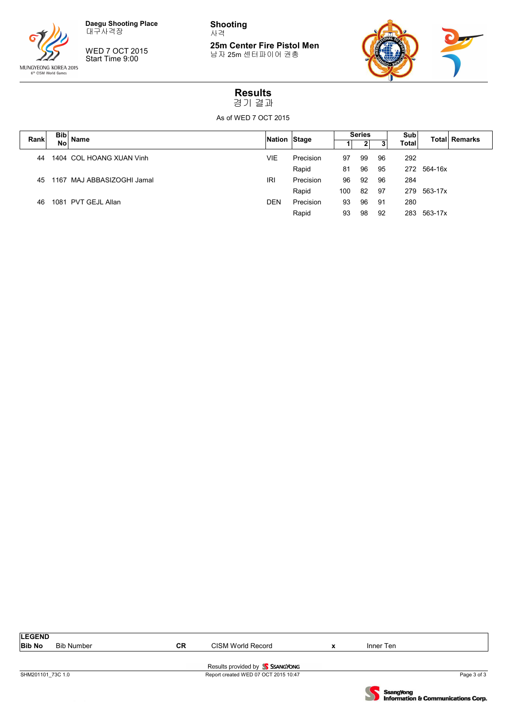

WED 7 OCT 2015 Start Time 9:00

**Shooting** 사격

**25m Center Fire Pistol Men** 남자 25m 센터파이어 권총



#### **Results** 경기 결과

As of WED 7 OCT 2015

|      | <b>Bib</b> |                            |              |           | <b>Series</b> |    |    | Sub          |         |                       |
|------|------------|----------------------------|--------------|-----------|---------------|----|----|--------------|---------|-----------------------|
| Rank | <b>No</b>  | Name                       | Nation Stage |           |               |    |    | <b>Total</b> |         | <b>Totall Remarks</b> |
| 44   |            | 1404 COL HOANG XUAN Vinh   | VIE          | Precision | 97            | 99 | 96 | 292          |         |                       |
|      |            |                            |              | Rapid     | 81            | 96 | 95 | 272          | 564-16x |                       |
| 45   |            | 1167 MAJ ABBASIZOGHI Jamal | IRI          | Precision | 96            | 92 | 96 | 284          |         |                       |
|      |            |                            |              | Rapid     | 100           | 82 | 97 | 279          | 563-17x |                       |
| 46   |            | 1081 PVT GEJL Allan        | <b>DEN</b>   | Precision | 93            | 96 | 91 | 280          |         |                       |
|      |            |                            |              | Rapid     | 93            | 98 | 92 | 283          | 563-17x |                       |
|      |            |                            |              |           |               |    |    |              |         |                       |

| <b>LEGEND</b>     |            |           |                                      |           |             |
|-------------------|------------|-----------|--------------------------------------|-----------|-------------|
| <b>Bib No</b>     | Bib Number | <b>CR</b> | CISM World Record                    | Inner Ten |             |
|                   |            |           |                                      |           |             |
|                   |            |           | Results provided by SSANGYONG        |           |             |
| SHM201101 73C 1.0 |            |           | Report created WED 07 OCT 2015 10:47 |           | Page 3 of 3 |

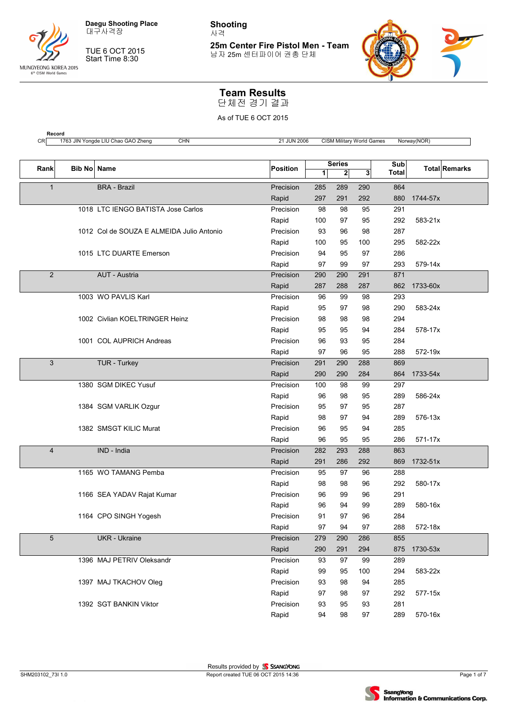

대구사격장

TUE 6 OCT 2015 Start Time 8:30

**Shooting** 사격

**25m Center Fire Pistol Men - Team** 남자 25m 센터파이어 권총 단체



#### **Team Results**

단체전 경기 결과

| Rank            | Bib No Name |                                           | <b>Position</b> | 1   | <b>Series</b><br>$\mathbf{2}$ | 3   | Sub<br><b>Total</b> |          | <b>Total Remarks</b> |
|-----------------|-------------|-------------------------------------------|-----------------|-----|-------------------------------|-----|---------------------|----------|----------------------|
| $\mathbf{1}$    |             | <b>BRA - Brazil</b>                       | Precision       | 285 | 289                           | 290 | 864                 |          |                      |
|                 |             |                                           | Rapid           | 297 | 291                           | 292 | 880                 | 1744-57x |                      |
|                 |             | 1018 LTC IENGO BATISTA Jose Carlos        | Precision       | 98  | 98                            | 95  | 291                 |          |                      |
|                 |             |                                           | Rapid           | 100 | 97                            | 95  | 292                 | 583-21x  |                      |
|                 |             | 1012 Col de SOUZA E ALMEIDA Julio Antonio | Precision       | 93  | 96                            | 98  | 287                 |          |                      |
|                 |             |                                           | Rapid           | 100 | 95                            | 100 | 295                 | 582-22x  |                      |
|                 |             | 1015 LTC DUARTE Emerson                   | Precision       | 94  | 95                            | 97  | 286                 |          |                      |
|                 |             |                                           | Rapid           | 97  | 99                            | 97  | 293                 | 579-14x  |                      |
| 2               |             | AUT - Austria                             | Precision       | 290 | 290                           | 291 | 871                 |          |                      |
|                 |             |                                           | Rapid           | 287 | 288                           | 287 | 862                 | 1733-60x |                      |
|                 |             | 1003 WO PAVLIS Karl                       | Precision       | 96  | 99                            | 98  | 293                 |          |                      |
|                 |             |                                           | Rapid           | 95  | 97                            | 98  | 290                 | 583-24x  |                      |
|                 |             | 1002 Civlian KOELTRINGER Heinz            | Precision       | 98  | 98                            | 98  | 294                 |          |                      |
|                 |             |                                           | Rapid           | 95  | 95                            | 94  | 284                 | 578-17x  |                      |
|                 |             | 1001 COL AUPRICH Andreas                  | Precision       | 96  | 93                            | 95  | 284                 |          |                      |
|                 |             |                                           | Rapid           | 97  | 96                            | 95  | 288                 | 572-19x  |                      |
| 3               |             | TUR - Turkey                              | Precision       | 291 | 290                           | 288 | 869                 |          |                      |
|                 |             |                                           | Rapid           | 290 | 290                           | 284 | 864                 | 1733-54x |                      |
|                 |             | 1380 SGM DIKEC Yusuf                      | Precision       | 100 | 98                            | 99  | 297                 |          |                      |
|                 |             |                                           | Rapid           | 96  | 98                            | 95  | 289                 | 586-24x  |                      |
|                 |             | 1384 SGM VARLIK Ozgur                     | Precision       | 95  | 97                            | 95  | 287                 |          |                      |
|                 |             |                                           | Rapid           | 98  | 97                            | 94  | 289                 | 576-13x  |                      |
|                 |             | 1382 SMSGT KILIC Murat                    | Precision       | 96  | 95                            | 94  | 285                 |          |                      |
|                 |             |                                           | Rapid           | 96  | 95                            | 95  | 286                 | 571-17x  |                      |
| $\overline{4}$  |             | IND - India                               | Precision       | 282 | 293                           | 288 | 863                 |          |                      |
|                 |             |                                           | Rapid           | 291 | 286                           | 292 | 869                 | 1732-51x |                      |
|                 |             | 1165 WO TAMANG Pemba                      | Precision       | 95  | 97                            | 96  | 288                 |          |                      |
|                 |             |                                           | Rapid           | 98  | 98                            | 96  | 292                 | 580-17x  |                      |
|                 |             | 1166 SEA YADAV Rajat Kumar                | Precision       | 96  | 99                            | 96  | 291                 |          |                      |
|                 |             |                                           | Rapid           | 96  | 94                            | 99  | 289                 | 580-16x  |                      |
|                 |             | 1164 CPO SINGH Yogesh                     | Precision       | 91  | 97                            | 96  | 284                 |          |                      |
|                 |             |                                           | Rapid           | 97  | 94                            | 97  | 288                 | 572-18x  |                      |
| $5\phantom{.0}$ |             | <b>UKR</b> - Ukraine                      | Precision       | 279 | 290                           | 286 | 855                 |          |                      |
|                 |             |                                           | Rapid           | 290 | 291                           | 294 | 875                 | 1730-53x |                      |
|                 |             | 1396 MAJ PETRIV Oleksandr                 | Precision       | 93  | 97                            | 99  | 289                 |          |                      |
|                 |             |                                           | Rapid           | 99  | 95                            | 100 | 294                 | 583-22x  |                      |
|                 |             | 1397 MAJ TKACHOV Oleg                     | Precision       | 93  | 98                            | 94  | 285                 |          |                      |
|                 |             |                                           | Rapid           | 97  | 98                            | 97  | 292                 | 577-15x  |                      |
|                 |             | 1392 SGT BANKIN Viktor                    | Precision       | 93  | 95                            | 93  | 281                 |          |                      |
|                 |             |                                           | Rapid           | 94  | 98                            | 97  | 289                 | 570-16x  |                      |

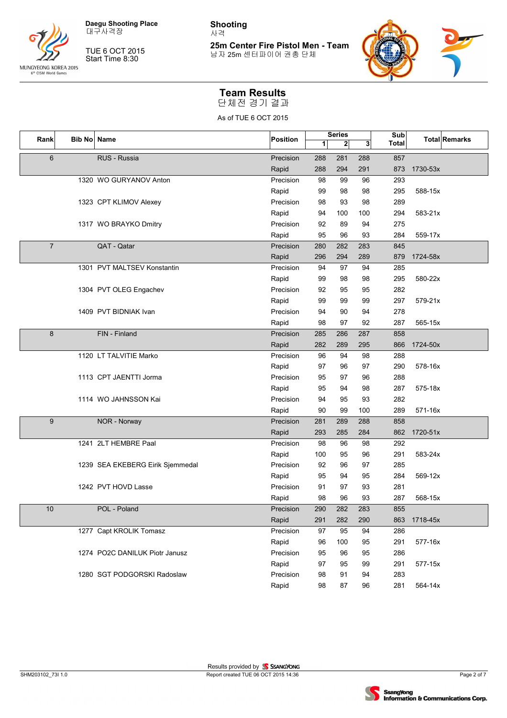

대구사격장

TUE 6 OCT 2015 Start Time 8:30

**Shooting** 사격

**25m Center Fire Pistol Men - Team** 남자 25m 센터파이어 권총 단체



#### **Team Results**

단체전 경기 결과

| Rank           | <b>Bib No</b> | Name                             | Position  |     | <b>Series</b> | Sub |              |          | <b>Total Remarks</b> |
|----------------|---------------|----------------------------------|-----------|-----|---------------|-----|--------------|----------|----------------------|
|                |               |                                  |           | 1   | $\mathbf{2}$  | 3   | <b>Total</b> |          |                      |
| 6              |               | RUS - Russia                     | Precision | 288 | 281           | 288 | 857          |          |                      |
|                |               |                                  | Rapid     | 288 | 294           | 291 | 873          | 1730-53x |                      |
|                |               | 1320 WO GURYANOV Anton           | Precision | 98  | 99            | 96  | 293          |          |                      |
|                |               |                                  | Rapid     | 99  | 98            | 98  | 295          | 588-15x  |                      |
|                |               | 1323 CPT KLIMOV Alexey           | Precision | 98  | 93            | 98  | 289          |          |                      |
|                |               |                                  | Rapid     | 94  | 100           | 100 | 294          | 583-21x  |                      |
|                |               | 1317 WO BRAYKO Dmitry            | Precision | 92  | 89            | 94  | 275          |          |                      |
|                |               |                                  | Rapid     | 95  | 96            | 93  | 284          | 559-17x  |                      |
| $\overline{7}$ |               | QAT - Qatar                      | Precision | 280 | 282           | 283 | 845          |          |                      |
|                |               |                                  | Rapid     | 296 | 294           | 289 | 879          | 1724-58x |                      |
|                |               | 1301 PVT MALTSEV Konstantin      | Precision | 94  | 97            | 94  | 285          |          |                      |
|                |               |                                  | Rapid     | 99  | 98            | 98  | 295          | 580-22x  |                      |
|                |               | 1304 PVT OLEG Engachev           | Precision | 92  | 95            | 95  | 282          |          |                      |
|                |               |                                  | Rapid     | 99  | 99            | 99  | 297          | 579-21x  |                      |
|                |               | 1409 PVT BIDNIAK Ivan            | Precision | 94  | 90            | 94  | 278          |          |                      |
|                |               |                                  | Rapid     | 98  | 97            | 92  | 287          | 565-15x  |                      |
| 8              |               | FIN - Finland                    | Precision | 285 | 286           | 287 | 858          |          |                      |
|                |               |                                  | Rapid     | 282 | 289           | 295 | 866          | 1724-50x |                      |
|                |               | 1120 LT TALVITIE Marko           | Precision | 96  | 94            | 98  | 288          |          |                      |
|                |               |                                  | Rapid     | 97  | 96            | 97  | 290          | 578-16x  |                      |
|                |               | 1113 CPT JAENTTI Jorma           | Precision | 95  | 97            | 96  | 288          |          |                      |
|                |               |                                  | Rapid     | 95  | 94            | 98  | 287          | 575-18x  |                      |
|                |               | 1114 WO JAHNSSON Kai             | Precision | 94  | 95            | 93  | 282          |          |                      |
|                |               |                                  | Rapid     | 90  | 99            | 100 | 289          | 571-16x  |                      |
| 9              |               | NOR - Norway                     | Precision | 281 | 289           | 288 | 858          |          |                      |
|                |               |                                  | Rapid     | 293 | 285           | 284 | 862          | 1720-51x |                      |
|                |               | 1241 2LT HEMBRE Paal             | Precision | 98  | 96            | 98  | 292          |          |                      |
|                |               |                                  | Rapid     | 100 | 95            | 96  | 291          | 583-24x  |                      |
|                |               | 1239 SEA EKEBERG Eirik Sjemmedal | Precision | 92  | 96            | 97  | 285          |          |                      |
|                |               |                                  | Rapid     | 95  | 94            | 95  | 284          | 569-12x  |                      |
|                |               | 1242 PVT HOVD Lasse              | Precision | 91  | 97            | 93  | 281          |          |                      |
|                |               |                                  | Rapid     | 98  | 96            | 93  | 287          | 568-15x  |                      |
| 10             |               | POL - Poland                     | Precision | 290 | 282           | 283 | 855          |          |                      |
|                |               |                                  | Rapid     | 291 | 282           | 290 | 863          | 1718-45x |                      |
|                |               | 1277 Capt KROLIK Tomasz          | Precision | 97  | 95            | 94  | 286          |          |                      |
|                |               |                                  | Rapid     | 96  | 100           | 95  | 291          | 577-16x  |                      |
|                |               | 1274 PO2C DANILUK Piotr Janusz   | Precision | 95  | 96            | 95  | 286          |          |                      |
|                |               |                                  | Rapid     | 97  | 95            | 99  | 291          | 577-15x  |                      |
|                |               | 1280 SGT PODGORSKI Radoslaw      | Precision | 98  | 91            | 94  | 283          |          |                      |
|                |               |                                  | Rapid     | 98  | 87            | 96  | 281          | 564-14x  |                      |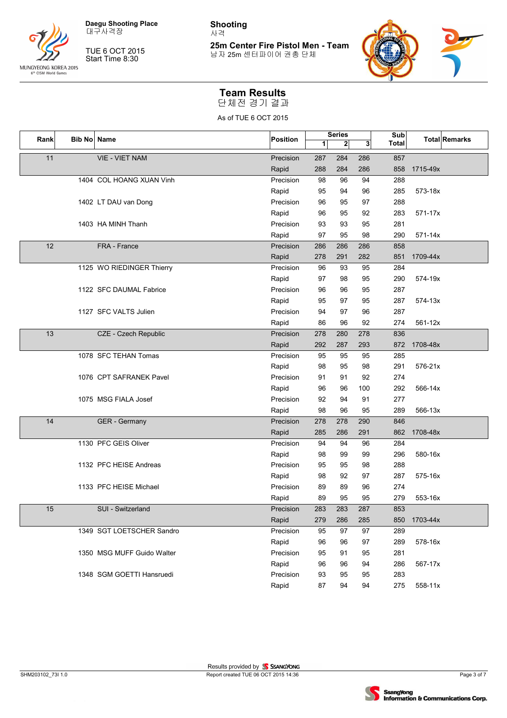

대구사격장

TUE 6 OCT 2015 Start Time 8:30

**Shooting** 사격

**25m Center Fire Pistol Men - Team** 남자 25m 센터파이어 권총 단체



#### **Team Results**

단체전 경기 결과

| Rank |  | Bib No Name                | Position  |     | <b>Series</b> |     | Sub          |          | <b>Total Remarks</b> |
|------|--|----------------------------|-----------|-----|---------------|-----|--------------|----------|----------------------|
|      |  |                            |           | 1   | $\mathbf{2}$  | 3   | <b>Total</b> |          |                      |
| 11   |  | <b>VIE - VIET NAM</b>      | Precision | 287 | 284           | 286 | 857          |          |                      |
|      |  |                            | Rapid     | 288 | 284           | 286 | 858          | 1715-49x |                      |
|      |  | 1404 COL HOANG XUAN Vinh   | Precision | 98  | 96            | 94  | 288          |          |                      |
|      |  |                            | Rapid     | 95  | 94            | 96  | 285          | 573-18x  |                      |
|      |  | 1402 LT DAU van Dong       | Precision | 96  | 95            | 97  | 288          |          |                      |
|      |  |                            | Rapid     | 96  | 95            | 92  | 283          | 571-17x  |                      |
|      |  | 1403 HA MINH Thanh         | Precision | 93  | 93            | 95  | 281          |          |                      |
|      |  |                            | Rapid     | 97  | 95            | 98  | 290          | 571-14x  |                      |
| 12   |  | FRA - France               | Precision | 286 | 286           | 286 | 858          |          |                      |
|      |  |                            | Rapid     | 278 | 291           | 282 | 851          | 1709-44x |                      |
|      |  | 1125 WO RIEDINGER Thierry  | Precision | 96  | 93            | 95  | 284          |          |                      |
|      |  |                            | Rapid     | 97  | 98            | 95  | 290          | 574-19x  |                      |
|      |  | 1122 SFC DAUMAL Fabrice    | Precision | 96  | 96            | 95  | 287          |          |                      |
|      |  |                            | Rapid     | 95  | 97            | 95  | 287          | 574-13x  |                      |
|      |  | 1127 SFC VALTS Julien      | Precision | 94  | 97            | 96  | 287          |          |                      |
|      |  |                            | Rapid     | 86  | 96            | 92  | 274          | 561-12x  |                      |
| 13   |  | CZE - Czech Republic       | Precision | 278 | 280           | 278 | 836          |          |                      |
|      |  |                            | Rapid     | 292 | 287           | 293 | 872          | 1708-48x |                      |
|      |  | 1078 SFC TEHAN Tomas       | Precision | 95  | 95            | 95  | 285          |          |                      |
|      |  |                            | Rapid     | 98  | 95            | 98  | 291          | 576-21x  |                      |
|      |  | 1076 CPT SAFRANEK Pavel    | Precision | 91  | 91            | 92  | 274          |          |                      |
|      |  |                            | Rapid     | 96  | 96            | 100 | 292          | 566-14x  |                      |
|      |  | 1075 MSG FIALA Josef       | Precision | 92  | 94            | 91  | 277          |          |                      |
|      |  |                            | Rapid     | 98  | 96            | 95  | 289          | 566-13x  |                      |
| 14   |  | GER - Germany              | Precision | 278 | 278           | 290 | 846          |          |                      |
|      |  |                            | Rapid     | 285 | 286           | 291 | 862          | 1708-48x |                      |
|      |  | 1130 PFC GEIS Oliver       | Precision | 94  | 94            | 96  | 284          |          |                      |
|      |  |                            | Rapid     | 98  | 99            | 99  | 296          | 580-16x  |                      |
|      |  | 1132 PFC HEISE Andreas     | Precision | 95  | 95            | 98  | 288          |          |                      |
|      |  |                            | Rapid     | 98  | 92            | 97  | 287          | 575-16x  |                      |
|      |  | 1133 PFC HEISE Michael     | Precision | 89  | 89            | 96  | 274          |          |                      |
|      |  |                            | Rapid     | 89  | 95            | 95  | 279          | 553-16x  |                      |
| 15   |  | SUI - Switzerland          | Precision | 283 | 283           | 287 | 853          |          |                      |
|      |  |                            | Rapid     | 279 | 286           | 285 | 850          | 1703-44x |                      |
|      |  | 1349 SGT LOETSCHER Sandro  | Precision | 95  | 97            | 97  | 289          |          |                      |
|      |  |                            | Rapid     | 96  | 96            | 97  | 289          | 578-16x  |                      |
|      |  | 1350 MSG MUFF Guido Walter | Precision | 95  | 91            | 95  | 281          |          |                      |
|      |  |                            | Rapid     | 96  | 96            | 94  | 286          | 567-17x  |                      |
|      |  | 1348 SGM GOETTI Hansruedi  | Precision | 93  | 95            | 95  | 283          |          |                      |
|      |  |                            | Rapid     | 87  | 94            | 94  | 275          | 558-11x  |                      |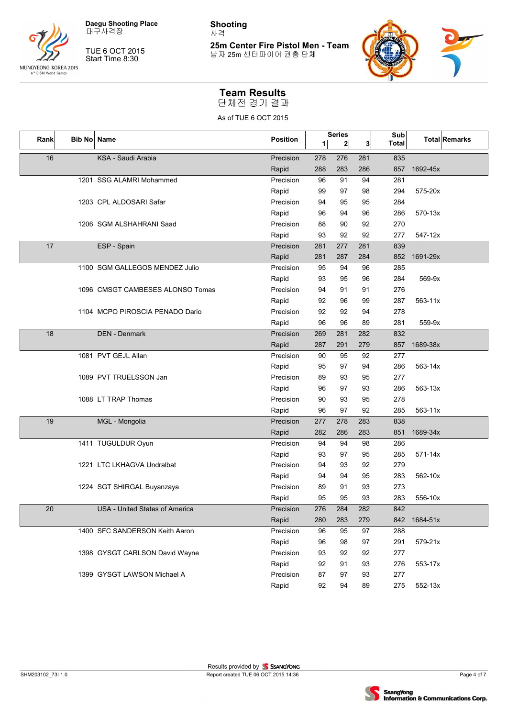

대구사격장

TUE 6 OCT 2015 Start Time 8:30

**Shooting** 사격

**25m Center Fire Pistol Men - Team** 남자 25m 센터파이어 권총 단체



#### **Team Results**

단체전 경기 결과

| <b>Bib No Name</b><br>Rank |  |                                  | Position  |     | <b>Series</b> |     | Sub          |          | <b>Total Remarks</b> |
|----------------------------|--|----------------------------------|-----------|-----|---------------|-----|--------------|----------|----------------------|
|                            |  |                                  |           | 1   | $\mathbf{2}$  | 3   | <b>Total</b> |          |                      |
| 16                         |  | KSA - Saudi Arabia               | Precision | 278 | 276           | 281 | 835          |          |                      |
|                            |  |                                  | Rapid     | 288 | 283           | 286 | 857          | 1692-45x |                      |
|                            |  | 1201 SSG ALAMRI Mohammed         | Precision | 96  | 91            | 94  | 281          |          |                      |
|                            |  |                                  | Rapid     | 99  | 97            | 98  | 294          | 575-20x  |                      |
|                            |  | 1203 CPL ALDOSARI Safar          | Precision | 94  | 95            | 95  | 284          |          |                      |
|                            |  |                                  | Rapid     | 96  | 94            | 96  | 286          | 570-13x  |                      |
|                            |  | 1206 SGM ALSHAHRANI Saad         | Precision | 88  | 90            | 92  | 270          |          |                      |
|                            |  |                                  | Rapid     | 93  | 92            | 92  | 277          | 547-12x  |                      |
| 17                         |  | ESP - Spain                      | Precision | 281 | 277           | 281 | 839          |          |                      |
|                            |  |                                  | Rapid     | 281 | 287           | 284 | 852          | 1691-29x |                      |
|                            |  | 1100 SGM GALLEGOS MENDEZ Julio   | Precision | 95  | 94            | 96  | 285          |          |                      |
|                            |  |                                  | Rapid     | 93  | 95            | 96  | 284          | 569-9x   |                      |
|                            |  | 1096 CMSGT CAMBESES ALONSO Tomas | Precision | 94  | 91            | 91  | 276          |          |                      |
|                            |  |                                  | Rapid     | 92  | 96            | 99  | 287          | 563-11x  |                      |
|                            |  | 1104 MCPO PIROSCIA PENADO Dario  | Precision | 92  | 92            | 94  | 278          |          |                      |
|                            |  |                                  | Rapid     | 96  | 96            | 89  | 281          | 559-9x   |                      |
| 18                         |  | <b>DEN - Denmark</b>             | Precision | 269 | 281           | 282 | 832          |          |                      |
|                            |  |                                  | Rapid     | 287 | 291           | 279 | 857          | 1689-38x |                      |
|                            |  | 1081 PVT GEJL Allan              | Precision | 90  | 95            | 92  | 277          |          |                      |
|                            |  |                                  | Rapid     | 95  | 97            | 94  | 286          | 563-14x  |                      |
|                            |  | 1089 PVT TRUELSSON Jan           | Precision | 89  | 93            | 95  | 277          |          |                      |
|                            |  |                                  | Rapid     | 96  | 97            | 93  | 286          | 563-13x  |                      |
|                            |  | 1088 LT TRAP Thomas              | Precision | 90  | 93            | 95  | 278          |          |                      |
|                            |  |                                  | Rapid     | 96  | 97            | 92  | 285          | 563-11x  |                      |
| 19                         |  | MGL - Mongolia                   | Precision | 277 | 278           | 283 | 838          |          |                      |
|                            |  |                                  | Rapid     | 282 | 286           | 283 | 851          | 1689-34x |                      |
|                            |  | 1411 TUGULDUR Oyun               | Precision | 94  | 94            | 98  | 286          |          |                      |
|                            |  |                                  | Rapid     | 93  | 97            | 95  | 285          | 571-14x  |                      |
|                            |  | 1221 LTC LKHAGVA Undralbat       | Precision | 94  | 93            | 92  | 279          |          |                      |
|                            |  |                                  | Rapid     | 94  | 94            | 95  | 283          | 562-10x  |                      |
|                            |  | 1224 SGT SHIRGAL Buyanzaya       | Precision | 89  | 91            | 93  | 273          |          |                      |
|                            |  |                                  | Rapid     | 95  | 95            | 93  | 283          | 556-10x  |                      |
| 20                         |  | USA - United States of America   | Precision | 276 | 284           | 282 | 842          |          |                      |
|                            |  |                                  | Rapid     | 280 | 283           | 279 | 842          | 1684-51x |                      |
|                            |  | 1400 SFC SANDERSON Keith Aaron   | Precision | 96  | 95            | 97  | 288          |          |                      |
|                            |  |                                  | Rapid     | 96  | 98            | 97  | 291          | 579-21x  |                      |
|                            |  | 1398 GYSGT CARLSON David Wayne   | Precision | 93  | 92            | 92  | 277          |          |                      |
|                            |  |                                  | Rapid     | 92  | 91            | 93  | 276          | 553-17x  |                      |
|                            |  | 1399 GYSGT LAWSON Michael A      | Precision | 87  | 97            | 93  | 277          |          |                      |
|                            |  |                                  | Rapid     | 92  | 94            | 89  | 275          | 552-13x  |                      |

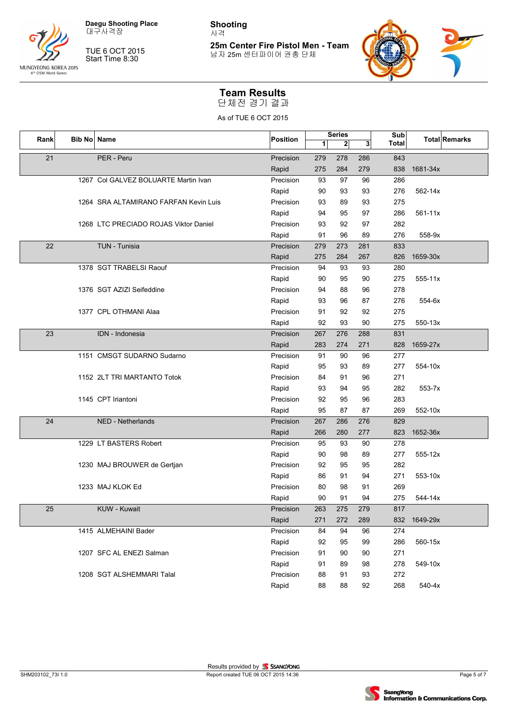

대구사격장

TUE 6 OCT 2015 Start Time 8:30

**Shooting** 사격

**25m Center Fire Pistol Men - Team** 남자 25m 센터파이어 권총 단체



#### **Team Results**

단체전 경기 결과

| Rank<br><b>Bib No</b> |  | Name                                  | Position  |     | Series       |     | <b>Sub</b>   |            | <b>Total Remarks</b> |
|-----------------------|--|---------------------------------------|-----------|-----|--------------|-----|--------------|------------|----------------------|
|                       |  |                                       |           | 1   | $\mathbf{2}$ | 3   | <b>Total</b> |            |                      |
| 21                    |  | PER - Peru                            | Precision | 279 | 278          | 286 | 843          |            |                      |
|                       |  |                                       | Rapid     | 275 | 284          | 279 | 838          | 1681-34x   |                      |
|                       |  | 1267 Col GALVEZ BOLUARTE Martin Ivan  | Precision | 93  | 97           | 96  | 286          |            |                      |
|                       |  |                                       | Rapid     | 90  | 93           | 93  | 276          | 562-14x    |                      |
|                       |  | 1264 SRA ALTAMIRANO FARFAN Kevin Luis | Precision | 93  | 89           | 93  | 275          |            |                      |
|                       |  |                                       | Rapid     | 94  | 95           | 97  | 286          | 561-11x    |                      |
|                       |  | 1268 LTC PRECIADO ROJAS Viktor Daniel | Precision | 93  | 92           | 97  | 282          |            |                      |
|                       |  |                                       | Rapid     | 91  | 96           | 89  | 276          | 558-9x     |                      |
| 22                    |  | TUN - Tunisia                         | Precision | 279 | 273          | 281 | 833          |            |                      |
|                       |  |                                       | Rapid     | 275 | 284          | 267 | 826          | 1659-30x   |                      |
|                       |  | 1378 SGT TRABELSI Raouf               | Precision | 94  | 93           | 93  | 280          |            |                      |
|                       |  |                                       | Rapid     | 90  | 95           | 90  | 275          | 555-11x    |                      |
|                       |  | 1376 SGT AZIZI Seifeddine             | Precision | 94  | 88           | 96  | 278          |            |                      |
|                       |  |                                       | Rapid     | 93  | 96           | 87  | 276          | 554-6x     |                      |
|                       |  | 1377 CPL OTHMANI Alaa                 | Precision | 91  | 92           | 92  | 275          |            |                      |
|                       |  |                                       | Rapid     | 92  | 93           | 90  | 275          | 550-13x    |                      |
| 23                    |  | IDN - Indonesia                       | Precision | 267 | 276          | 288 | 831          |            |                      |
|                       |  |                                       | Rapid     | 283 | 274          | 271 | 828          | 1659-27x   |                      |
|                       |  | 1151 CMSGT SUDARNO Sudarno            | Precision | 91  | 90           | 96  | 277          |            |                      |
|                       |  |                                       | Rapid     | 95  | 93           | 89  | 277          | 554-10x    |                      |
|                       |  | 1152 2LT TRI MARTANTO Totok           | Precision | 84  | 91           | 96  | 271          |            |                      |
|                       |  |                                       | Rapid     | 93  | 94           | 95  | 282          | $553 - 7x$ |                      |
|                       |  | 1145 CPT Iriantoni                    | Precision | 92  | 95           | 96  | 283          |            |                      |
|                       |  |                                       | Rapid     | 95  | 87           | 87  | 269          | 552-10x    |                      |
| 24                    |  | NED - Netherlands                     | Precision | 267 | 286          | 276 | 829          |            |                      |
|                       |  |                                       | Rapid     | 266 | 280          | 277 | 823          | 1652-36x   |                      |
|                       |  | 1229 LT BASTERS Robert                | Precision | 95  | 93           | 90  | 278          |            |                      |
|                       |  |                                       | Rapid     | 90  | 98           | 89  | 277          | 555-12x    |                      |
|                       |  | 1230 MAJ BROUWER de Gertjan           | Precision | 92  | 95           | 95  | 282          |            |                      |
|                       |  |                                       | Rapid     | 86  | 91           | 94  | 271          | 553-10x    |                      |
|                       |  | 1233 MAJ KLOK Ed                      | Precision | 80  | 98           | 91  | 269          |            |                      |
|                       |  |                                       | Rapid     | 90  | 91           | 94  | 275          | 544-14x    |                      |
| 25                    |  | KUW - Kuwait                          | Precision | 263 | 275          | 279 | 817          |            |                      |
|                       |  |                                       | Rapid     | 271 | 272          | 289 | 832          | 1649-29x   |                      |
|                       |  | 1415 ALMEHAINI Bader                  | Precision | 84  | 94           | 96  | 274          |            |                      |
|                       |  |                                       | Rapid     | 92  | 95           | 99  | 286          | 560-15x    |                      |
|                       |  | 1207 SFC AL ENEZI Salman              | Precision | 91  | 90           | 90  | 271          |            |                      |
|                       |  |                                       | Rapid     | 91  | 89           | 98  | 278          | 549-10x    |                      |
|                       |  | 1208 SGT ALSHEMMARI Talal             | Precision | 88  | 91           | 93  | 272          |            |                      |
|                       |  |                                       | Rapid     | 88  | 88           | 92  | 268          | 540-4x     |                      |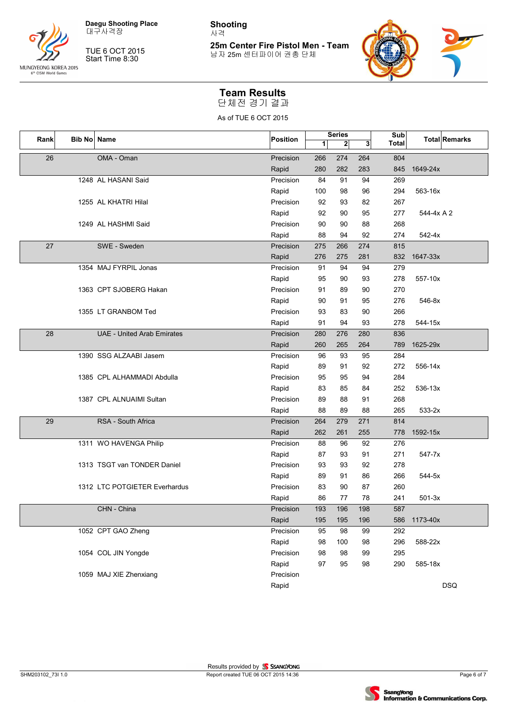

대구사격장

TUE 6 OCT 2015 Start Time 8:30

**Shooting** 사격

**25m Center Fire Pistol Men - Team** 남자 25m 센터파이어 권총 단체



#### **Team Results**

단체전 경기 결과

| Rank | Bib No Name |                                   | Position  |     | <b>Series</b> |     | Sub   |            | <b>Total Remarks</b> |
|------|-------------|-----------------------------------|-----------|-----|---------------|-----|-------|------------|----------------------|
|      |             |                                   |           | 1   | $\mathbf{2}$  | 3   | Total |            |                      |
| 26   |             | OMA - Oman                        | Precision | 266 | 274           | 264 | 804   |            |                      |
|      |             |                                   | Rapid     | 280 | 282           | 283 | 845   | 1649-24x   |                      |
|      |             | 1248 AL HASANI Said               | Precision | 84  | 91            | 94  | 269   |            |                      |
|      |             |                                   | Rapid     | 100 | 98            | 96  | 294   | 563-16x    |                      |
|      |             | 1255 AL KHATRI Hilal              | Precision | 92  | 93            | 82  | 267   |            |                      |
|      |             |                                   | Rapid     | 92  | 90            | 95  | 277   | 544-4x A 2 |                      |
|      |             | 1249 AL HASHMI Said               | Precision | 90  | 90            | 88  | 268   |            |                      |
|      |             |                                   | Rapid     | 88  | 94            | 92  | 274   | $542 - 4x$ |                      |
| 27   |             | SWE - Sweden                      | Precision | 275 | 266           | 274 | 815   |            |                      |
|      |             |                                   | Rapid     | 276 | 275           | 281 | 832   | 1647-33x   |                      |
|      |             | 1354 MAJ FYRPIL Jonas             | Precision | 91  | 94            | 94  | 279   |            |                      |
|      |             |                                   | Rapid     | 95  | 90            | 93  | 278   | 557-10x    |                      |
|      |             | 1363 CPT SJOBERG Hakan            | Precision | 91  | 89            | 90  | 270   |            |                      |
|      |             |                                   | Rapid     | 90  | 91            | 95  | 276   | 546-8x     |                      |
|      |             | 1355 LT GRANBOM Ted               | Precision | 93  | 83            | 90  | 266   |            |                      |
|      |             |                                   | Rapid     | 91  | 94            | 93  | 278   | 544-15x    |                      |
| 28   |             | <b>UAE - United Arab Emirates</b> | Precision | 280 | 276           | 280 | 836   |            |                      |
|      |             |                                   | Rapid     | 260 | 265           | 264 | 789   | 1625-29x   |                      |
|      |             | 1390 SSG ALZAABI Jasem            | Precision | 96  | 93            | 95  | 284   |            |                      |
|      |             |                                   | Rapid     | 89  | 91            | 92  | 272   | 556-14x    |                      |
|      |             | 1385 CPL ALHAMMADI Abdulla        | Precision | 95  | 95            | 94  | 284   |            |                      |
|      |             |                                   | Rapid     | 83  | 85            | 84  | 252   | 536-13x    |                      |
|      |             | 1387 CPL ALNUAIMI Sultan          | Precision | 89  | 88            | 91  | 268   |            |                      |
|      |             |                                   | Rapid     | 88  | 89            | 88  | 265   | 533-2x     |                      |
| 29   |             | RSA - South Africa                | Precision | 264 | 279           | 271 | 814   |            |                      |
|      |             |                                   | Rapid     | 262 | 261           | 255 | 778   | 1592-15x   |                      |
|      |             | 1311 WO HAVENGA Philip            | Precision | 88  | 96            | 92  | 276   |            |                      |
|      |             |                                   | Rapid     | 87  | 93            | 91  | 271   | 547-7x     |                      |
|      |             | 1313 TSGT van TONDER Daniel       | Precision | 93  | 93            | 92  | 278   |            |                      |
|      |             |                                   | Rapid     | 89  | 91            | 86  | 266   | 544-5x     |                      |
|      |             | 1312 LTC POTGIETER Everhardus     | Precision | 83  | 90            | 87  | 260   |            |                      |
|      |             |                                   | Rapid     | 86  | 77            | 78  | 241   | $501-3x$   |                      |
|      |             | CHN - China                       | Precision | 193 | 196           | 198 | 587   |            |                      |
|      |             |                                   | Rapid     | 195 | 195           | 196 | 586   | 1173-40x   |                      |
|      |             | 1052 CPT GAO Zheng                | Precision | 95  | 98            | 99  | 292   |            |                      |
|      |             |                                   | Rapid     | 98  | 100           | 98  | 296   | 588-22x    |                      |
|      |             | 1054 COL JIN Yongde               | Precision | 98  | 98            | 99  | 295   |            |                      |
|      |             |                                   | Rapid     | 97  | 95            | 98  | 290   | 585-18x    |                      |
|      |             | 1059 MAJ XIE Zhenxiang            | Precision |     |               |     |       |            |                      |
|      |             |                                   | Rapid     |     |               |     |       |            | <b>DSQ</b>           |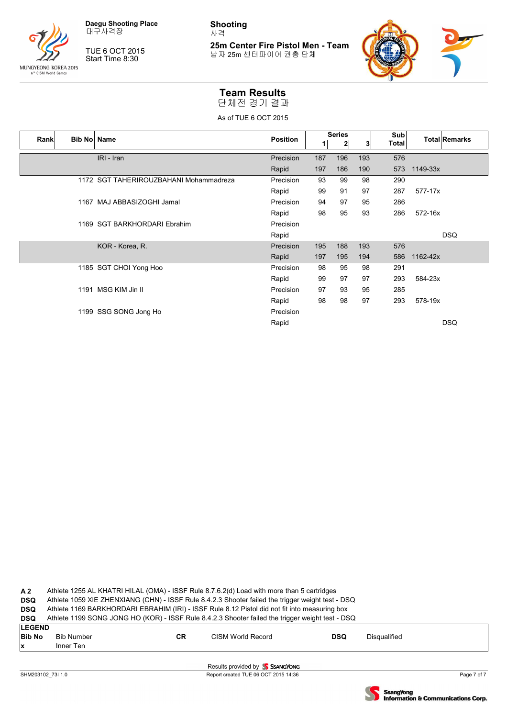

TUE 6 OCT 2015 Start Time 8:30

**Shooting** 사격

**25m Center Fire Pistol Men - Team** 남자 25m 센터파이어 권총 단체



#### **Team Results**

단체전 경기 결과

As of TUE 6 OCT 2015

| Rank | Bib No Name |                                        | Position  |     | <b>Series</b> |     | Sub          | <b>Total Remarks</b> |
|------|-------------|----------------------------------------|-----------|-----|---------------|-----|--------------|----------------------|
|      |             |                                        |           | 1   | $\mathbf{2}$  | 3   | <b>Total</b> |                      |
|      |             | IRI - Iran                             | Precision | 187 | 196           | 193 | 576          |                      |
|      |             |                                        | Rapid     | 197 | 186           | 190 | 573          | 1149-33x             |
|      |             | 1172 SGT TAHERIROUZBAHANI Mohammadreza | Precision | 93  | 99            | 98  | 290          |                      |
|      |             |                                        | Rapid     | 99  | 91            | 97  | 287          | 577-17x              |
|      |             | 1167 MAJ ABBASIZOGHI Jamal             | Precision | 94  | 97            | 95  | 286          |                      |
|      |             |                                        | Rapid     | 98  | 95            | 93  | 286          | 572-16x              |
|      |             | 1169 SGT BARKHORDARI Ebrahim           | Precision |     |               |     |              |                      |
|      |             |                                        | Rapid     |     |               |     |              | <b>DSQ</b>           |
|      |             | KOR - Korea, R.                        | Precision | 195 | 188           | 193 | 576          |                      |
|      |             |                                        | Rapid     | 197 | 195           | 194 | 586          | 1162-42x             |
|      |             | 1185 SGT CHOI Yong Hoo                 | Precision | 98  | 95            | 98  | 291          |                      |
|      |             |                                        | Rapid     | 99  | 97            | 97  | 293          | 584-23x              |
|      |             | 1191 MSG KIM Jin II                    | Precision | 97  | 93            | 95  | 285          |                      |
|      |             |                                        | Rapid     | 98  | 98            | 97  | 293          | 578-19x              |
|      |             | 1199 SSG SONG Jong Ho                  | Precision |     |               |     |              |                      |
|      |             |                                        | Rapid     |     |               |     |              | <b>DSQ</b>           |
|      |             |                                        |           |     |               |     |              |                      |

**A 2** Athlete 1255 AL KHATRI HILAL (OMA) - ISSF Rule 8.7.6.2(d) Load with more than 5 cartridges

**DSQ** Athlete 1059 XIE ZHENXIANG (CHN) - ISSF Rule 8.4.2.3 Shooter failed the trigger weight test - DSQ

**DSQ** Athlete 1169 BARKHORDARI EBRAHIM (IRI) - ISSF Rule 8.12 Pistol did not fit into measuring box

**DSQ** Athlete 1199 SONG JONG HO (KOR) - ISSF Rule 8.4.2.3 Shooter failed the trigger weight test - DSQ **LEGE** 

| ILEGEND<br><b>Bib No</b><br>x | <b>Bib Number</b><br>Inner Ten | <b>CR</b> | CISM World Record             | <b>DSQ</b> | Disqualified |
|-------------------------------|--------------------------------|-----------|-------------------------------|------------|--------------|
|                               |                                |           | Results provided by CSANGYONG |            |              |

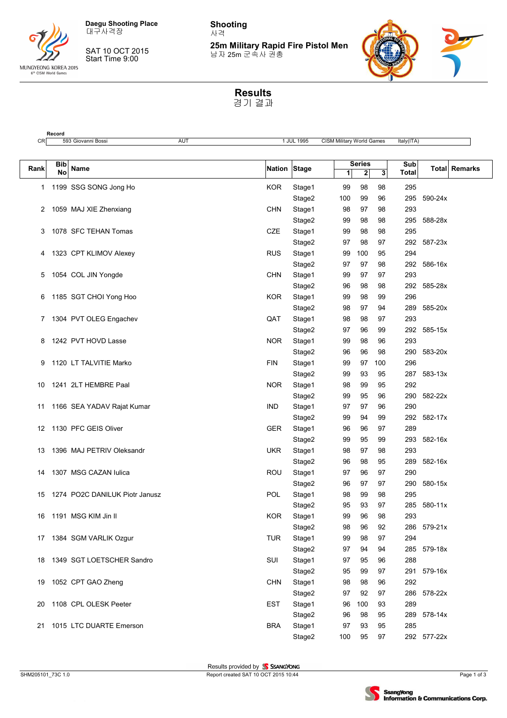

**Record**

SAT 10 OCT 2015 Start Time 9:00

**Shooting** 사격

**25m Military Rapid Fire Pistol Men** 남자 25m 군속사 권총



**Results** 경기 결과

| <b>Series</b><br>Sub<br><b>Bib</b><br>Nation Stage<br>Total Remarks<br>Name<br>Rank<br><b>No</b><br>$\mathbf{2}$<br>$\mathbf{3}$<br>Total<br>$\mathbf{1}$<br>98<br>295<br>1199 SSG SONG Jong Ho<br><b>KOR</b><br>Stage1<br>99<br>98<br>1<br>Stage2<br>100<br>99<br>96<br>295<br>590-24x<br>293<br><b>CHN</b><br>Stage1<br>98<br>97<br>98<br>2<br>1059 MAJ XIE Zhenxiang<br>Stage2<br>99<br>98<br>98<br>295<br>588-28x<br>CZE<br>98<br>295<br>1078 SFC TEHAN Tomas<br>Stage1<br>99<br>98<br>3<br>Stage2<br>97<br>98<br>97<br>292 587-23x<br>95<br>294<br>1323 CPT KLIMOV Alexey<br><b>RUS</b><br>Stage1<br>99<br>100<br>4<br>98<br>Stage2<br>97<br>97<br>292 586-16x<br>97<br>293<br>1054 COL JIN Yongde<br><b>CHN</b><br>Stage1<br>97<br>5<br>99<br>98<br>292 585-28x<br>Stage2<br>98<br>96<br>296<br>1185 SGT CHOI Yong Hoo<br>KOR.<br>Stage1<br>99<br>98<br>99<br>6<br>Stage2<br>97<br>94<br>289 585-20x<br>98<br>293<br>1304 PVT OLEG Engachev<br>QAT<br>Stage1<br>98<br>98<br>97<br>7<br>292 585-15x<br>Stage2<br>97<br>96<br>99<br>293<br>1242 PVT HOVD Lasse<br><b>NOR</b><br>Stage1<br>99<br>98<br>96<br>8<br>Stage2<br>96<br>98<br>290<br>583-20x<br>96<br><b>FIN</b><br>296<br>1120 LT TALVITIE Marko<br>99<br>97<br>100<br>Stage1<br>9<br>Stage2<br>99<br>93<br>95<br>287<br>583-13x<br>1241 2LT HEMBRE Paal<br>95<br>292<br>NOR<br>Stage1<br>98<br>99<br>10<br>Stage2<br>99<br>95<br>96<br>290<br>582-22x<br>96<br>290<br><b>IND</b><br>97<br>97<br>1166 SEA YADAV Rajat Kumar<br>Stage1<br>11<br>99<br>Stage2<br>99<br>94<br>292 582-17x<br>1130 PFC GEIS Oliver<br>97<br>289<br><b>GER</b><br>Stage1<br>96<br>96<br>12<br>293<br>Stage2<br>99<br>95<br>99<br>582-16x<br>293<br>1396 MAJ PETRIV Oleksandr<br><b>UKR</b><br>Stage1<br>98<br>97<br>98<br>13<br>95<br>Stage2<br>289<br>582-16x<br>96<br>98<br>97<br>290<br>1307 MSG CAZAN lulica<br>ROU<br>Stage1<br>97<br>96<br>14<br>Stage2<br>97<br>97<br>290<br>580-15x<br>96<br>295<br>1274 PO2C DANILUK Piotr Janusz<br>POL<br>Stage1<br>98<br>99<br>98<br>15<br>Stage2<br>93<br>97<br>285<br>580-11x<br>95<br><b>KOR</b><br>98<br>293<br>1191 MSG KIM Jin II<br>Stage1<br>99<br>96<br>16<br>96<br>Stage2<br>98<br>92<br>286 579-21x<br>294<br><b>TUR</b><br>Stage1<br>98<br>97<br>17 1384 SGM VARLIK Ozgur<br>99<br>Stage2<br>94<br>94<br>285<br>579-18x<br>97<br>SUI<br>Stage1<br>96<br>288<br>1349 SGT LOETSCHER Sandro<br>97<br>95<br>18<br>Stage2<br>291 579-16x<br>95<br>99<br>97<br>98<br>292<br>1052 CPT GAO Zheng<br><b>CHN</b><br>Stage1<br>98<br>96<br>19<br>Stage2<br>97<br>92<br>286 578-22x<br>97<br><b>EST</b><br>289<br>1108 CPL OLESK Peeter<br>Stage1<br>96<br>100<br>93<br>20<br>Stage2<br>96<br>98<br>95<br>289 578-14x<br>1015 LTC DUARTE Emerson<br><b>BRA</b><br>95<br>285<br>Stage1<br>97<br>93<br>21<br>100<br>97<br>Stage2<br>95<br>292 577-22x | CR | 593 Giovanni Bossi | AUT | 1 JUL 1995 |  | <b>CISM Military World Games</b> | ltaly(ITA) |  |
|------------------------------------------------------------------------------------------------------------------------------------------------------------------------------------------------------------------------------------------------------------------------------------------------------------------------------------------------------------------------------------------------------------------------------------------------------------------------------------------------------------------------------------------------------------------------------------------------------------------------------------------------------------------------------------------------------------------------------------------------------------------------------------------------------------------------------------------------------------------------------------------------------------------------------------------------------------------------------------------------------------------------------------------------------------------------------------------------------------------------------------------------------------------------------------------------------------------------------------------------------------------------------------------------------------------------------------------------------------------------------------------------------------------------------------------------------------------------------------------------------------------------------------------------------------------------------------------------------------------------------------------------------------------------------------------------------------------------------------------------------------------------------------------------------------------------------------------------------------------------------------------------------------------------------------------------------------------------------------------------------------------------------------------------------------------------------------------------------------------------------------------------------------------------------------------------------------------------------------------------------------------------------------------------------------------------------------------------------------------------------------------------------------------------------------------------------------------------------------------------------------------------------------------------------------------------------------------------------------------------------------------------------------------------------------------------------------------------------------------------------------------------------------------------------------------------------------------|----|--------------------|-----|------------|--|----------------------------------|------------|--|
|                                                                                                                                                                                                                                                                                                                                                                                                                                                                                                                                                                                                                                                                                                                                                                                                                                                                                                                                                                                                                                                                                                                                                                                                                                                                                                                                                                                                                                                                                                                                                                                                                                                                                                                                                                                                                                                                                                                                                                                                                                                                                                                                                                                                                                                                                                                                                                                                                                                                                                                                                                                                                                                                                                                                                                                                                                          |    |                    |     |            |  |                                  |            |  |
|                                                                                                                                                                                                                                                                                                                                                                                                                                                                                                                                                                                                                                                                                                                                                                                                                                                                                                                                                                                                                                                                                                                                                                                                                                                                                                                                                                                                                                                                                                                                                                                                                                                                                                                                                                                                                                                                                                                                                                                                                                                                                                                                                                                                                                                                                                                                                                                                                                                                                                                                                                                                                                                                                                                                                                                                                                          |    |                    |     |            |  |                                  |            |  |
|                                                                                                                                                                                                                                                                                                                                                                                                                                                                                                                                                                                                                                                                                                                                                                                                                                                                                                                                                                                                                                                                                                                                                                                                                                                                                                                                                                                                                                                                                                                                                                                                                                                                                                                                                                                                                                                                                                                                                                                                                                                                                                                                                                                                                                                                                                                                                                                                                                                                                                                                                                                                                                                                                                                                                                                                                                          |    |                    |     |            |  |                                  |            |  |
|                                                                                                                                                                                                                                                                                                                                                                                                                                                                                                                                                                                                                                                                                                                                                                                                                                                                                                                                                                                                                                                                                                                                                                                                                                                                                                                                                                                                                                                                                                                                                                                                                                                                                                                                                                                                                                                                                                                                                                                                                                                                                                                                                                                                                                                                                                                                                                                                                                                                                                                                                                                                                                                                                                                                                                                                                                          |    |                    |     |            |  |                                  |            |  |
|                                                                                                                                                                                                                                                                                                                                                                                                                                                                                                                                                                                                                                                                                                                                                                                                                                                                                                                                                                                                                                                                                                                                                                                                                                                                                                                                                                                                                                                                                                                                                                                                                                                                                                                                                                                                                                                                                                                                                                                                                                                                                                                                                                                                                                                                                                                                                                                                                                                                                                                                                                                                                                                                                                                                                                                                                                          |    |                    |     |            |  |                                  |            |  |
|                                                                                                                                                                                                                                                                                                                                                                                                                                                                                                                                                                                                                                                                                                                                                                                                                                                                                                                                                                                                                                                                                                                                                                                                                                                                                                                                                                                                                                                                                                                                                                                                                                                                                                                                                                                                                                                                                                                                                                                                                                                                                                                                                                                                                                                                                                                                                                                                                                                                                                                                                                                                                                                                                                                                                                                                                                          |    |                    |     |            |  |                                  |            |  |
|                                                                                                                                                                                                                                                                                                                                                                                                                                                                                                                                                                                                                                                                                                                                                                                                                                                                                                                                                                                                                                                                                                                                                                                                                                                                                                                                                                                                                                                                                                                                                                                                                                                                                                                                                                                                                                                                                                                                                                                                                                                                                                                                                                                                                                                                                                                                                                                                                                                                                                                                                                                                                                                                                                                                                                                                                                          |    |                    |     |            |  |                                  |            |  |
|                                                                                                                                                                                                                                                                                                                                                                                                                                                                                                                                                                                                                                                                                                                                                                                                                                                                                                                                                                                                                                                                                                                                                                                                                                                                                                                                                                                                                                                                                                                                                                                                                                                                                                                                                                                                                                                                                                                                                                                                                                                                                                                                                                                                                                                                                                                                                                                                                                                                                                                                                                                                                                                                                                                                                                                                                                          |    |                    |     |            |  |                                  |            |  |
|                                                                                                                                                                                                                                                                                                                                                                                                                                                                                                                                                                                                                                                                                                                                                                                                                                                                                                                                                                                                                                                                                                                                                                                                                                                                                                                                                                                                                                                                                                                                                                                                                                                                                                                                                                                                                                                                                                                                                                                                                                                                                                                                                                                                                                                                                                                                                                                                                                                                                                                                                                                                                                                                                                                                                                                                                                          |    |                    |     |            |  |                                  |            |  |
|                                                                                                                                                                                                                                                                                                                                                                                                                                                                                                                                                                                                                                                                                                                                                                                                                                                                                                                                                                                                                                                                                                                                                                                                                                                                                                                                                                                                                                                                                                                                                                                                                                                                                                                                                                                                                                                                                                                                                                                                                                                                                                                                                                                                                                                                                                                                                                                                                                                                                                                                                                                                                                                                                                                                                                                                                                          |    |                    |     |            |  |                                  |            |  |
|                                                                                                                                                                                                                                                                                                                                                                                                                                                                                                                                                                                                                                                                                                                                                                                                                                                                                                                                                                                                                                                                                                                                                                                                                                                                                                                                                                                                                                                                                                                                                                                                                                                                                                                                                                                                                                                                                                                                                                                                                                                                                                                                                                                                                                                                                                                                                                                                                                                                                                                                                                                                                                                                                                                                                                                                                                          |    |                    |     |            |  |                                  |            |  |
|                                                                                                                                                                                                                                                                                                                                                                                                                                                                                                                                                                                                                                                                                                                                                                                                                                                                                                                                                                                                                                                                                                                                                                                                                                                                                                                                                                                                                                                                                                                                                                                                                                                                                                                                                                                                                                                                                                                                                                                                                                                                                                                                                                                                                                                                                                                                                                                                                                                                                                                                                                                                                                                                                                                                                                                                                                          |    |                    |     |            |  |                                  |            |  |
|                                                                                                                                                                                                                                                                                                                                                                                                                                                                                                                                                                                                                                                                                                                                                                                                                                                                                                                                                                                                                                                                                                                                                                                                                                                                                                                                                                                                                                                                                                                                                                                                                                                                                                                                                                                                                                                                                                                                                                                                                                                                                                                                                                                                                                                                                                                                                                                                                                                                                                                                                                                                                                                                                                                                                                                                                                          |    |                    |     |            |  |                                  |            |  |
|                                                                                                                                                                                                                                                                                                                                                                                                                                                                                                                                                                                                                                                                                                                                                                                                                                                                                                                                                                                                                                                                                                                                                                                                                                                                                                                                                                                                                                                                                                                                                                                                                                                                                                                                                                                                                                                                                                                                                                                                                                                                                                                                                                                                                                                                                                                                                                                                                                                                                                                                                                                                                                                                                                                                                                                                                                          |    |                    |     |            |  |                                  |            |  |
|                                                                                                                                                                                                                                                                                                                                                                                                                                                                                                                                                                                                                                                                                                                                                                                                                                                                                                                                                                                                                                                                                                                                                                                                                                                                                                                                                                                                                                                                                                                                                                                                                                                                                                                                                                                                                                                                                                                                                                                                                                                                                                                                                                                                                                                                                                                                                                                                                                                                                                                                                                                                                                                                                                                                                                                                                                          |    |                    |     |            |  |                                  |            |  |
|                                                                                                                                                                                                                                                                                                                                                                                                                                                                                                                                                                                                                                                                                                                                                                                                                                                                                                                                                                                                                                                                                                                                                                                                                                                                                                                                                                                                                                                                                                                                                                                                                                                                                                                                                                                                                                                                                                                                                                                                                                                                                                                                                                                                                                                                                                                                                                                                                                                                                                                                                                                                                                                                                                                                                                                                                                          |    |                    |     |            |  |                                  |            |  |
|                                                                                                                                                                                                                                                                                                                                                                                                                                                                                                                                                                                                                                                                                                                                                                                                                                                                                                                                                                                                                                                                                                                                                                                                                                                                                                                                                                                                                                                                                                                                                                                                                                                                                                                                                                                                                                                                                                                                                                                                                                                                                                                                                                                                                                                                                                                                                                                                                                                                                                                                                                                                                                                                                                                                                                                                                                          |    |                    |     |            |  |                                  |            |  |
|                                                                                                                                                                                                                                                                                                                                                                                                                                                                                                                                                                                                                                                                                                                                                                                                                                                                                                                                                                                                                                                                                                                                                                                                                                                                                                                                                                                                                                                                                                                                                                                                                                                                                                                                                                                                                                                                                                                                                                                                                                                                                                                                                                                                                                                                                                                                                                                                                                                                                                                                                                                                                                                                                                                                                                                                                                          |    |                    |     |            |  |                                  |            |  |
|                                                                                                                                                                                                                                                                                                                                                                                                                                                                                                                                                                                                                                                                                                                                                                                                                                                                                                                                                                                                                                                                                                                                                                                                                                                                                                                                                                                                                                                                                                                                                                                                                                                                                                                                                                                                                                                                                                                                                                                                                                                                                                                                                                                                                                                                                                                                                                                                                                                                                                                                                                                                                                                                                                                                                                                                                                          |    |                    |     |            |  |                                  |            |  |
|                                                                                                                                                                                                                                                                                                                                                                                                                                                                                                                                                                                                                                                                                                                                                                                                                                                                                                                                                                                                                                                                                                                                                                                                                                                                                                                                                                                                                                                                                                                                                                                                                                                                                                                                                                                                                                                                                                                                                                                                                                                                                                                                                                                                                                                                                                                                                                                                                                                                                                                                                                                                                                                                                                                                                                                                                                          |    |                    |     |            |  |                                  |            |  |
|                                                                                                                                                                                                                                                                                                                                                                                                                                                                                                                                                                                                                                                                                                                                                                                                                                                                                                                                                                                                                                                                                                                                                                                                                                                                                                                                                                                                                                                                                                                                                                                                                                                                                                                                                                                                                                                                                                                                                                                                                                                                                                                                                                                                                                                                                                                                                                                                                                                                                                                                                                                                                                                                                                                                                                                                                                          |    |                    |     |            |  |                                  |            |  |
|                                                                                                                                                                                                                                                                                                                                                                                                                                                                                                                                                                                                                                                                                                                                                                                                                                                                                                                                                                                                                                                                                                                                                                                                                                                                                                                                                                                                                                                                                                                                                                                                                                                                                                                                                                                                                                                                                                                                                                                                                                                                                                                                                                                                                                                                                                                                                                                                                                                                                                                                                                                                                                                                                                                                                                                                                                          |    |                    |     |            |  |                                  |            |  |
|                                                                                                                                                                                                                                                                                                                                                                                                                                                                                                                                                                                                                                                                                                                                                                                                                                                                                                                                                                                                                                                                                                                                                                                                                                                                                                                                                                                                                                                                                                                                                                                                                                                                                                                                                                                                                                                                                                                                                                                                                                                                                                                                                                                                                                                                                                                                                                                                                                                                                                                                                                                                                                                                                                                                                                                                                                          |    |                    |     |            |  |                                  |            |  |
|                                                                                                                                                                                                                                                                                                                                                                                                                                                                                                                                                                                                                                                                                                                                                                                                                                                                                                                                                                                                                                                                                                                                                                                                                                                                                                                                                                                                                                                                                                                                                                                                                                                                                                                                                                                                                                                                                                                                                                                                                                                                                                                                                                                                                                                                                                                                                                                                                                                                                                                                                                                                                                                                                                                                                                                                                                          |    |                    |     |            |  |                                  |            |  |
|                                                                                                                                                                                                                                                                                                                                                                                                                                                                                                                                                                                                                                                                                                                                                                                                                                                                                                                                                                                                                                                                                                                                                                                                                                                                                                                                                                                                                                                                                                                                                                                                                                                                                                                                                                                                                                                                                                                                                                                                                                                                                                                                                                                                                                                                                                                                                                                                                                                                                                                                                                                                                                                                                                                                                                                                                                          |    |                    |     |            |  |                                  |            |  |
|                                                                                                                                                                                                                                                                                                                                                                                                                                                                                                                                                                                                                                                                                                                                                                                                                                                                                                                                                                                                                                                                                                                                                                                                                                                                                                                                                                                                                                                                                                                                                                                                                                                                                                                                                                                                                                                                                                                                                                                                                                                                                                                                                                                                                                                                                                                                                                                                                                                                                                                                                                                                                                                                                                                                                                                                                                          |    |                    |     |            |  |                                  |            |  |
|                                                                                                                                                                                                                                                                                                                                                                                                                                                                                                                                                                                                                                                                                                                                                                                                                                                                                                                                                                                                                                                                                                                                                                                                                                                                                                                                                                                                                                                                                                                                                                                                                                                                                                                                                                                                                                                                                                                                                                                                                                                                                                                                                                                                                                                                                                                                                                                                                                                                                                                                                                                                                                                                                                                                                                                                                                          |    |                    |     |            |  |                                  |            |  |
|                                                                                                                                                                                                                                                                                                                                                                                                                                                                                                                                                                                                                                                                                                                                                                                                                                                                                                                                                                                                                                                                                                                                                                                                                                                                                                                                                                                                                                                                                                                                                                                                                                                                                                                                                                                                                                                                                                                                                                                                                                                                                                                                                                                                                                                                                                                                                                                                                                                                                                                                                                                                                                                                                                                                                                                                                                          |    |                    |     |            |  |                                  |            |  |
|                                                                                                                                                                                                                                                                                                                                                                                                                                                                                                                                                                                                                                                                                                                                                                                                                                                                                                                                                                                                                                                                                                                                                                                                                                                                                                                                                                                                                                                                                                                                                                                                                                                                                                                                                                                                                                                                                                                                                                                                                                                                                                                                                                                                                                                                                                                                                                                                                                                                                                                                                                                                                                                                                                                                                                                                                                          |    |                    |     |            |  |                                  |            |  |
|                                                                                                                                                                                                                                                                                                                                                                                                                                                                                                                                                                                                                                                                                                                                                                                                                                                                                                                                                                                                                                                                                                                                                                                                                                                                                                                                                                                                                                                                                                                                                                                                                                                                                                                                                                                                                                                                                                                                                                                                                                                                                                                                                                                                                                                                                                                                                                                                                                                                                                                                                                                                                                                                                                                                                                                                                                          |    |                    |     |            |  |                                  |            |  |
|                                                                                                                                                                                                                                                                                                                                                                                                                                                                                                                                                                                                                                                                                                                                                                                                                                                                                                                                                                                                                                                                                                                                                                                                                                                                                                                                                                                                                                                                                                                                                                                                                                                                                                                                                                                                                                                                                                                                                                                                                                                                                                                                                                                                                                                                                                                                                                                                                                                                                                                                                                                                                                                                                                                                                                                                                                          |    |                    |     |            |  |                                  |            |  |
|                                                                                                                                                                                                                                                                                                                                                                                                                                                                                                                                                                                                                                                                                                                                                                                                                                                                                                                                                                                                                                                                                                                                                                                                                                                                                                                                                                                                                                                                                                                                                                                                                                                                                                                                                                                                                                                                                                                                                                                                                                                                                                                                                                                                                                                                                                                                                                                                                                                                                                                                                                                                                                                                                                                                                                                                                                          |    |                    |     |            |  |                                  |            |  |
|                                                                                                                                                                                                                                                                                                                                                                                                                                                                                                                                                                                                                                                                                                                                                                                                                                                                                                                                                                                                                                                                                                                                                                                                                                                                                                                                                                                                                                                                                                                                                                                                                                                                                                                                                                                                                                                                                                                                                                                                                                                                                                                                                                                                                                                                                                                                                                                                                                                                                                                                                                                                                                                                                                                                                                                                                                          |    |                    |     |            |  |                                  |            |  |
|                                                                                                                                                                                                                                                                                                                                                                                                                                                                                                                                                                                                                                                                                                                                                                                                                                                                                                                                                                                                                                                                                                                                                                                                                                                                                                                                                                                                                                                                                                                                                                                                                                                                                                                                                                                                                                                                                                                                                                                                                                                                                                                                                                                                                                                                                                                                                                                                                                                                                                                                                                                                                                                                                                                                                                                                                                          |    |                    |     |            |  |                                  |            |  |
|                                                                                                                                                                                                                                                                                                                                                                                                                                                                                                                                                                                                                                                                                                                                                                                                                                                                                                                                                                                                                                                                                                                                                                                                                                                                                                                                                                                                                                                                                                                                                                                                                                                                                                                                                                                                                                                                                                                                                                                                                                                                                                                                                                                                                                                                                                                                                                                                                                                                                                                                                                                                                                                                                                                                                                                                                                          |    |                    |     |            |  |                                  |            |  |
|                                                                                                                                                                                                                                                                                                                                                                                                                                                                                                                                                                                                                                                                                                                                                                                                                                                                                                                                                                                                                                                                                                                                                                                                                                                                                                                                                                                                                                                                                                                                                                                                                                                                                                                                                                                                                                                                                                                                                                                                                                                                                                                                                                                                                                                                                                                                                                                                                                                                                                                                                                                                                                                                                                                                                                                                                                          |    |                    |     |            |  |                                  |            |  |
|                                                                                                                                                                                                                                                                                                                                                                                                                                                                                                                                                                                                                                                                                                                                                                                                                                                                                                                                                                                                                                                                                                                                                                                                                                                                                                                                                                                                                                                                                                                                                                                                                                                                                                                                                                                                                                                                                                                                                                                                                                                                                                                                                                                                                                                                                                                                                                                                                                                                                                                                                                                                                                                                                                                                                                                                                                          |    |                    |     |            |  |                                  |            |  |
|                                                                                                                                                                                                                                                                                                                                                                                                                                                                                                                                                                                                                                                                                                                                                                                                                                                                                                                                                                                                                                                                                                                                                                                                                                                                                                                                                                                                                                                                                                                                                                                                                                                                                                                                                                                                                                                                                                                                                                                                                                                                                                                                                                                                                                                                                                                                                                                                                                                                                                                                                                                                                                                                                                                                                                                                                                          |    |                    |     |            |  |                                  |            |  |
|                                                                                                                                                                                                                                                                                                                                                                                                                                                                                                                                                                                                                                                                                                                                                                                                                                                                                                                                                                                                                                                                                                                                                                                                                                                                                                                                                                                                                                                                                                                                                                                                                                                                                                                                                                                                                                                                                                                                                                                                                                                                                                                                                                                                                                                                                                                                                                                                                                                                                                                                                                                                                                                                                                                                                                                                                                          |    |                    |     |            |  |                                  |            |  |
|                                                                                                                                                                                                                                                                                                                                                                                                                                                                                                                                                                                                                                                                                                                                                                                                                                                                                                                                                                                                                                                                                                                                                                                                                                                                                                                                                                                                                                                                                                                                                                                                                                                                                                                                                                                                                                                                                                                                                                                                                                                                                                                                                                                                                                                                                                                                                                                                                                                                                                                                                                                                                                                                                                                                                                                                                                          |    |                    |     |            |  |                                  |            |  |
|                                                                                                                                                                                                                                                                                                                                                                                                                                                                                                                                                                                                                                                                                                                                                                                                                                                                                                                                                                                                                                                                                                                                                                                                                                                                                                                                                                                                                                                                                                                                                                                                                                                                                                                                                                                                                                                                                                                                                                                                                                                                                                                                                                                                                                                                                                                                                                                                                                                                                                                                                                                                                                                                                                                                                                                                                                          |    |                    |     |            |  |                                  |            |  |
|                                                                                                                                                                                                                                                                                                                                                                                                                                                                                                                                                                                                                                                                                                                                                                                                                                                                                                                                                                                                                                                                                                                                                                                                                                                                                                                                                                                                                                                                                                                                                                                                                                                                                                                                                                                                                                                                                                                                                                                                                                                                                                                                                                                                                                                                                                                                                                                                                                                                                                                                                                                                                                                                                                                                                                                                                                          |    |                    |     |            |  |                                  |            |  |
|                                                                                                                                                                                                                                                                                                                                                                                                                                                                                                                                                                                                                                                                                                                                                                                                                                                                                                                                                                                                                                                                                                                                                                                                                                                                                                                                                                                                                                                                                                                                                                                                                                                                                                                                                                                                                                                                                                                                                                                                                                                                                                                                                                                                                                                                                                                                                                                                                                                                                                                                                                                                                                                                                                                                                                                                                                          |    |                    |     |            |  |                                  |            |  |
|                                                                                                                                                                                                                                                                                                                                                                                                                                                                                                                                                                                                                                                                                                                                                                                                                                                                                                                                                                                                                                                                                                                                                                                                                                                                                                                                                                                                                                                                                                                                                                                                                                                                                                                                                                                                                                                                                                                                                                                                                                                                                                                                                                                                                                                                                                                                                                                                                                                                                                                                                                                                                                                                                                                                                                                                                                          |    |                    |     |            |  |                                  |            |  |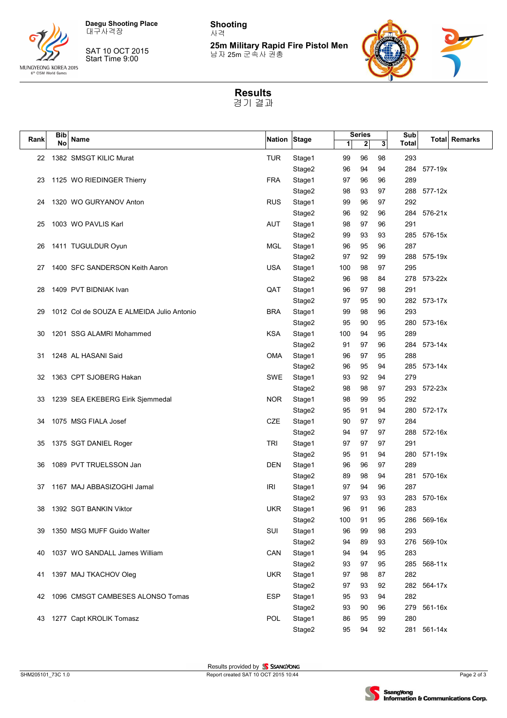



SAT 10 OCT 2015 Start Time 9:00

**Shooting** 사격

**25m Military Rapid Fire Pistol Men** 남자 25m 군속사 권총



**Results** 경기 결과

|      | Bib |                                           |              |                  |          | <b>Series</b> |          | Sub        |             |               |
|------|-----|-------------------------------------------|--------------|------------------|----------|---------------|----------|------------|-------------|---------------|
| Rank | No  | Name                                      | Nation Stage |                  | 1        | $\mathbf{2}$  | 3        | Total      |             | Total Remarks |
| 22   |     | 1382 SMSGT KILIC Murat                    | TUR          | Stage1           | 99       | 96            | 98       | 293        |             |               |
|      |     |                                           |              | Stage2           | 96       | 94            | 94       | 284        | 577-19x     |               |
| 23   |     | 1125 WO RIEDINGER Thierry                 | <b>FRA</b>   | Stage1           | 97       | 96            | 96       | 289        |             |               |
|      |     |                                           |              | Stage2           | 98       | 93            | 97       | 288        | $577 - 12x$ |               |
| 24   |     | 1320 WO GURYANOV Anton                    | <b>RUS</b>   | Stage1           | 99       | 96            | 97       | 292        |             |               |
|      |     |                                           |              | Stage2           | 96       | 92            | 96       | 284        | 576-21x     |               |
| 25   |     | 1003 WO PAVLIS Karl                       | <b>AUT</b>   | Stage1           | 98       | 97            | 96       | 291        |             |               |
|      |     |                                           |              | Stage2           | 99       | 93            | 93       | 285        | 576-15x     |               |
| 26   |     | 1411 TUGULDUR Oyun                        | <b>MGL</b>   | Stage1           | 96       | 95            | 96       | 287        |             |               |
|      |     |                                           |              | Stage2           | 97       | 92            | 99       | 288        | 575-19x     |               |
| 27   |     | 1400 SFC SANDERSON Keith Aaron            | <b>USA</b>   | Stage1           | 100      | 98            | 97       | 295        |             |               |
|      |     |                                           |              | Stage2           | 96       | 98            | 84       | 278        | 573-22x     |               |
| 28   |     | 1409 PVT BIDNIAK Ivan                     | QAT          | Stage1           | 96       | 97            | 98       | 291        |             |               |
|      |     |                                           |              | Stage2           | 97       | 95            | 90       | 282        | 573-17x     |               |
| 29   |     | 1012 Col de SOUZA E ALMEIDA Julio Antonio | <b>BRA</b>   | Stage1           | 99       | 98            | 96       | 293        |             |               |
|      |     |                                           |              | Stage2           | 95       | 90            | 95       | 280        | 573-16x     |               |
| 30   |     | 1201 SSG ALAMRI Mohammed                  | <b>KSA</b>   | Stage1           | 100      | 94            | 95       | 289        |             |               |
|      |     |                                           |              | Stage2           | 91       | 97            | 96       | 284        | 573-14x     |               |
| 31   |     | 1248 AL HASANI Said                       | <b>OMA</b>   | Stage1           | 96       | 97            | 95       | 288        |             |               |
|      |     |                                           |              | Stage2           | 96       | 95            | 94       | 285        | 573-14x     |               |
| 32   |     | 1363 CPT SJOBERG Hakan                    | SWE          | Stage1           | 93       | 92            | 94       | 279        |             |               |
|      |     |                                           |              | Stage2           | 98       | 98            | 97       | 293        | 572-23x     |               |
| 33   |     | 1239 SEA EKEBERG Eirik Sjemmedal          | <b>NOR</b>   | Stage1           | 98       | 99            | 95       | 292        |             |               |
|      |     |                                           |              | Stage2           | 95       | 91            | 94       | 280        | 572-17x     |               |
| 34   |     | 1075 MSG FIALA Josef                      | CZE          | Stage1           | 90       | 97            | 97       | 284        |             |               |
|      |     |                                           |              | Stage2           | 94       | 97            | 97       | 288        | 572-16x     |               |
| 35   |     | 1375 SGT DANIEL Roger                     | <b>TRI</b>   | Stage1           | 97       | 97            | 97       | 291        |             |               |
|      |     |                                           |              | Stage2           | 95       | 91            | 94<br>97 | 280        | 571-19x     |               |
| 36   |     | 1089 PVT TRUELSSON Jan                    | <b>DEN</b>   | Stage1           | 96<br>89 | 96<br>98      | 94       | 289<br>281 | 570-16x     |               |
| 37   |     | 1167 MAJ ABBASIZOGHI Jamal                | IRI          | Stage2           | 97       | 94            | 96       | 287        |             |               |
|      |     |                                           |              | Stage1<br>Stage2 | 97       | 93            | 93       |            | 283 570-16x |               |
| 38   |     | 1392 SGT BANKIN Viktor                    | UKR          | Stage1           | 96       | 91            | 96       | 283        |             |               |
|      |     |                                           |              | Stage2           | 100      | 91            | 95       |            | 286 569-16x |               |
| 39   |     | 1350 MSG MUFF Guido Walter                | SUI          | Stage1           | 96       | 99            | 98       | 293        |             |               |
|      |     |                                           |              | Stage2           | 94       | 89            | 93       |            | 276 569-10x |               |
| 40   |     | 1037 WO SANDALL James William             | CAN          | Stage1           | 94       | 94            | 95       | 283        |             |               |
|      |     |                                           |              | Stage2           | 93       | 97            | 95       |            | 285 568-11x |               |
|      |     | 41 1397 MAJ TKACHOV Oleg                  | <b>UKR</b>   | Stage1           | 97       | 98            | 87       | 282        |             |               |
|      |     |                                           |              | Stage2           | 97       | 93            | 92       |            | 282 564-17x |               |
| 42   |     | 1096 CMSGT CAMBESES ALONSO Tomas          | <b>ESP</b>   | Stage1           | 95       | 93            | 94       | 282        |             |               |
|      |     |                                           |              | Stage2           | 93       | 90            | 96       |            | 279 561-16x |               |
| 43   |     | 1277 Capt KROLIK Tomasz                   | <b>POL</b>   | Stage1           | 86       | 95            | 99       | 280        |             |               |
|      |     |                                           |              | Stage2           | 95       | 94            | 92       |            | 281 561-14x |               |

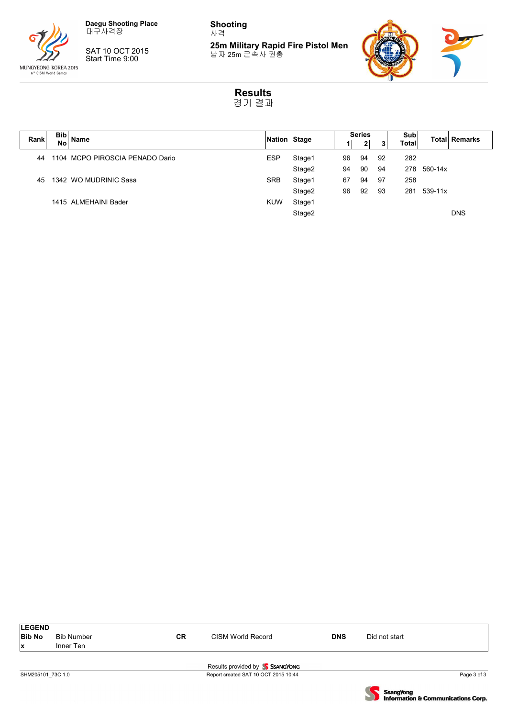

SAT 10 OCT 2015 Start Time 9:00

**Shooting** 사격

**25m Military Rapid Fire Pistol Men** 남자 25m 군속사 권총



**Results** 경기 결과

| Bib<br>Rank |           | Name                            |            | Nation Stage |    | <b>Series</b> |    | Sub          |           | Total Remarks |
|-------------|-----------|---------------------------------|------------|--------------|----|---------------|----|--------------|-----------|---------------|
|             | <b>No</b> |                                 |            |              |    |               |    | <b>Total</b> |           |               |
| 44          |           | 1104 MCPO PIROSCIA PENADO Dario | <b>ESP</b> | Stage1       | 96 | 94            | 92 | 282          |           |               |
|             |           |                                 |            | Stage2       | 94 | 90            | 94 | 278          | 560-14x   |               |
| 45          |           | 1342 WO MUDRINIC Sasa           | <b>SRB</b> | Stage1       | 67 | 94            | 97 | 258          |           |               |
|             |           |                                 |            | Stage2       | 96 | 92            | 93 | 281          | $539-11x$ |               |
|             |           | 1415 ALMEHAINI Bader            | <b>KUW</b> | Stage1       |    |               |    |              |           |               |
|             |           |                                 |            | Stage2       |    |               |    |              |           | <b>DNS</b>    |
|             |           |                                 |            |              |    |               |    |              |           |               |

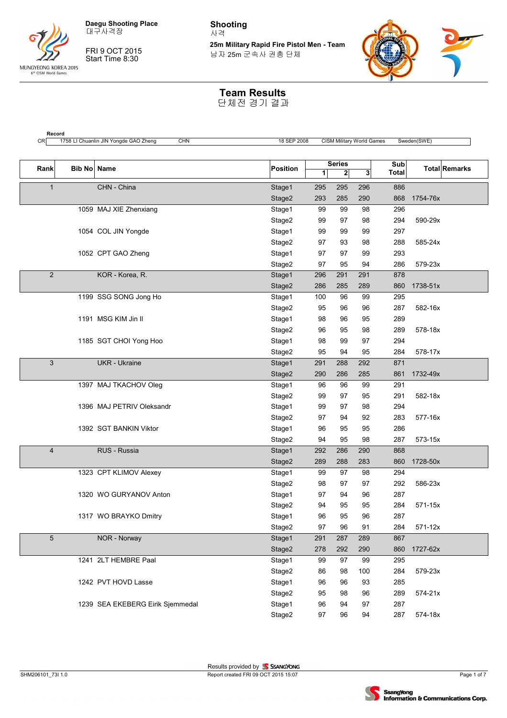

**Record**

FRI 9 OCT 2015 Start Time 8:30

**Shooting** 사격

**25m Military Rapid Fire Pistol Men - Team** 남자 25m 군속사 권총 단체



#### **Team Results**

| Rank           | Bib No Name |                                  | Position |     | <b>Series</b> |              | Sub          | <b>Total Remarks</b> |
|----------------|-------------|----------------------------------|----------|-----|---------------|--------------|--------------|----------------------|
|                |             |                                  |          | 1   | $\mathbf{2}$  | $\mathbf{3}$ | <b>Total</b> |                      |
| $\mathbf{1}$   |             | CHN - China                      | Stage1   | 295 | 295           | 296          | 886          |                      |
|                |             |                                  | Stage2   | 293 | 285           | 290          | 868          | 1754-76x             |
|                |             | 1059 MAJ XIE Zhenxiang           | Stage1   | 99  | 99            | 98           | 296          |                      |
|                |             |                                  | Stage2   | 99  | 97            | 98           | 294          | 590-29x              |
|                |             | 1054 COL JIN Yongde              | Stage1   | 99  | 99            | 99           | 297          |                      |
|                |             |                                  | Stage2   | 97  | 93            | 98           | 288          | 585-24x              |
|                |             | 1052 CPT GAO Zheng               | Stage1   | 97  | 97            | 99           | 293          |                      |
|                |             |                                  | Stage2   | 97  | 95            | 94           | 286          | 579-23x              |
| $\overline{2}$ |             | KOR - Korea, R.                  | Stage1   | 296 | 291           | 291          | 878          |                      |
|                |             |                                  | Stage2   | 286 | 285           | 289          | 860          | 1738-51x             |
|                |             | 1199 SSG SONG Jong Ho            | Stage1   | 100 | 96            | 99           | 295          |                      |
|                |             |                                  | Stage2   | 95  | 96            | 96           | 287          | 582-16x              |
|                |             | 1191 MSG KIM Jin II              | Stage1   | 98  | 96            | 95           | 289          |                      |
|                |             |                                  | Stage2   | 96  | 95            | 98           | 289          | 578-18x              |
|                |             | 1185 SGT CHOI Yong Hoo           | Stage1   | 98  | 99            | 97           | 294          |                      |
|                |             |                                  | Stage2   | 95  | 94            | 95           | 284          | 578-17x              |
| 3              |             | <b>UKR</b> - Ukraine             | Stage1   | 291 | 288           | 292          | 871          |                      |
|                |             |                                  | Stage2   | 290 | 286           | 285          | 861          | 1732-49x             |
|                |             | 1397 MAJ TKACHOV Oleg            | Stage1   | 96  | 96            | 99           | 291          |                      |
|                |             |                                  | Stage2   | 99  | 97            | 95           | 291          | 582-18x              |
|                |             | 1396 MAJ PETRIV Oleksandr        | Stage1   | 99  | 97            | 98           | 294          |                      |
|                |             |                                  | Stage2   | 97  | 94            | 92           | 283          | 577-16x              |
|                |             | 1392 SGT BANKIN Viktor           | Stage1   | 96  | 95            | 95           | 286          |                      |
|                |             |                                  | Stage2   | 94  | 95            | 98           | 287          | 573-15x              |
| 4              |             | RUS - Russia                     | Stage1   | 292 | 286           | 290          | 868          |                      |
|                |             |                                  | Stage2   | 289 | 288           | 283          | 860          | 1728-50x             |
|                |             | 1323 CPT KLIMOV Alexey           | Stage1   | 99  | 97            | 98           | 294          |                      |
|                |             |                                  | Stage2   | 98  | 97            | 97           | 292          | 586-23x              |
|                |             | 1320 WO GURYANOV Anton           | Stage1   | 97  | 94            | 96           | 287          |                      |
|                |             |                                  | Stage2   | 94  | 95            | 95           | 284          | 571-15x              |
|                |             | 1317 WO BRAYKO Dmitry            | Stage1   | 96  | 95            | 96           | 287          |                      |
|                |             |                                  | Stage2   | 97  | 96            | 91           | 284          | 571-12x              |
| 5              |             | NOR - Norway                     | Stage1   | 291 | 287           | 289          | 867          |                      |
|                |             |                                  | Stage2   | 278 | 292           | 290          | 860          | 1727-62x             |
|                |             | 1241 2LT HEMBRE Paal             | Stage1   | 99  | 97            | 99           | 295          |                      |
|                |             |                                  | Stage2   | 86  | 98            | 100          | 284          | 579-23x              |
|                |             | 1242 PVT HOVD Lasse              | Stage1   | 96  | 96            | 93           | 285          |                      |
|                |             |                                  | Stage2   | 95  | 98            | 96           | 289          | 574-21x              |
|                |             | 1239 SEA EKEBERG Eirik Sjemmedal | Stage1   | 96  | 94            | 97           | 287          |                      |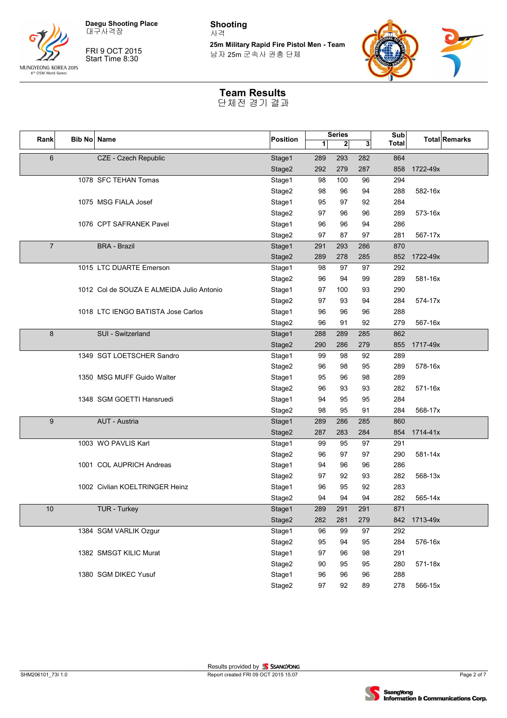



FRI 9 OCT 2015 Start Time 8:30

**Shooting** 사격

**25m Military Rapid Fire Pistol Men - Team** 남자 25m 군속사 권총 단체



### **Team Results**

| Rank            | <b>Bib No Name</b> |                                           | Position |     | <b>Series</b> |                | Sub          |          | <b>Total Remarks</b> |
|-----------------|--------------------|-------------------------------------------|----------|-----|---------------|----------------|--------------|----------|----------------------|
|                 |                    |                                           |          | 1   | $\mathbf{2}$  | 3 <sup>1</sup> | <b>Total</b> |          |                      |
| $6\phantom{1}6$ |                    | CZE - Czech Republic                      | Stage1   | 289 | 293           | 282            | 864          |          |                      |
|                 |                    |                                           | Stage2   | 292 | 279           | 287            | 858          | 1722-49x |                      |
|                 |                    | 1078 SFC TEHAN Tomas                      | Stage1   | 98  | 100           | 96             | 294          |          |                      |
|                 |                    |                                           | Stage2   | 98  | 96            | 94             | 288          | 582-16x  |                      |
|                 |                    | 1075 MSG FIALA Josef                      | Stage1   | 95  | 97            | 92             | 284          |          |                      |
|                 |                    |                                           | Stage2   | 97  | 96            | 96             | 289          | 573-16x  |                      |
|                 |                    | 1076 CPT SAFRANEK Pavel                   | Stage1   | 96  | 96            | 94             | 286          |          |                      |
|                 |                    |                                           | Stage2   | 97  | 87            | 97             | 281          | 567-17x  |                      |
| $\overline{7}$  |                    | <b>BRA - Brazil</b>                       | Stage1   | 291 | 293           | 286            | 870          |          |                      |
|                 |                    |                                           | Stage2   | 289 | 278           | 285            | 852          | 1722-49x |                      |
|                 |                    | 1015 LTC DUARTE Emerson                   | Stage1   | 98  | 97            | 97             | 292          |          |                      |
|                 |                    |                                           | Stage2   | 96  | 94            | 99             | 289          | 581-16x  |                      |
|                 |                    | 1012 Col de SOUZA E ALMEIDA Julio Antonio | Stage1   | 97  | 100           | 93             | 290          |          |                      |
|                 |                    |                                           | Stage2   | 97  | 93            | 94             | 284          | 574-17x  |                      |
|                 |                    | 1018 LTC IENGO BATISTA Jose Carlos        | Stage1   | 96  | 96            | 96             | 288          |          |                      |
|                 |                    |                                           | Stage2   | 96  | 91            | 92             | 279          | 567-16x  |                      |
| 8               |                    | SUI - Switzerland                         | Stage1   | 288 | 289           | 285            | 862          |          |                      |
|                 |                    |                                           | Stage2   | 290 | 286           | 279            | 855          | 1717-49x |                      |
|                 |                    | 1349 SGT LOETSCHER Sandro                 | Stage1   | 99  | 98            | 92             | 289          |          |                      |
|                 |                    |                                           | Stage2   | 96  | 98            | 95             | 289          | 578-16x  |                      |
|                 |                    | 1350 MSG MUFF Guido Walter                | Stage1   | 95  | 96            | 98             | 289          |          |                      |
|                 |                    |                                           | Stage2   | 96  | 93            | 93             | 282          | 571-16x  |                      |
|                 |                    | 1348 SGM GOETTI Hansruedi                 | Stage1   | 94  | 95            | 95             | 284          |          |                      |
|                 |                    |                                           | Stage2   | 98  | 95            | 91             | 284          | 568-17x  |                      |
| 9               |                    | AUT - Austria                             | Stage1   | 289 | 286           | 285            | 860          |          |                      |
|                 |                    |                                           | Stage2   | 287 | 283           | 284            | 854          | 1714-41x |                      |
|                 |                    | 1003 WO PAVLIS Karl                       | Stage1   | 99  | 95            | 97             | 291          |          |                      |
|                 |                    |                                           | Stage2   | 96  | 97            | 97             | 290          | 581-14x  |                      |
|                 |                    | 1001 COL AUPRICH Andreas                  | Stage1   | 94  | 96            | 96             | 286          |          |                      |
|                 |                    |                                           | Stage2   | 97  | 92            | 93             | 282          | 568-13x  |                      |
|                 |                    | 1002 Civlian KOELTRINGER Heinz            | Stage1   | 96  | 95            | 92             | 283          |          |                      |
|                 |                    |                                           | Stage2   | 94  | 94            | 94             | 282          | 565-14x  |                      |
| 10              |                    | <b>TUR - Turkey</b>                       | Stage1   | 289 | 291           | 291            | 871          |          |                      |
|                 |                    |                                           | Stage2   | 282 | 281           | 279            | 842          | 1713-49x |                      |
|                 |                    | 1384 SGM VARLIK Ozgur                     | Stage1   | 96  | 99            | 97             | 292          |          |                      |
|                 |                    |                                           | Stage2   | 95  | 94            | 95             | 284          | 576-16x  |                      |
|                 |                    | 1382 SMSGT KILIC Murat                    | Stage1   | 97  | 96            | 98             | 291          |          |                      |
|                 |                    |                                           | Stage2   | 90  | 95            | 95             | 280          | 571-18x  |                      |
|                 |                    | 1380 SGM DIKEC Yusuf                      | Stage1   | 96  | 96            | 96             | 288          |          |                      |
|                 |                    |                                           | Stage2   | 97  | 92            | 89             | 278          | 566-15x  |                      |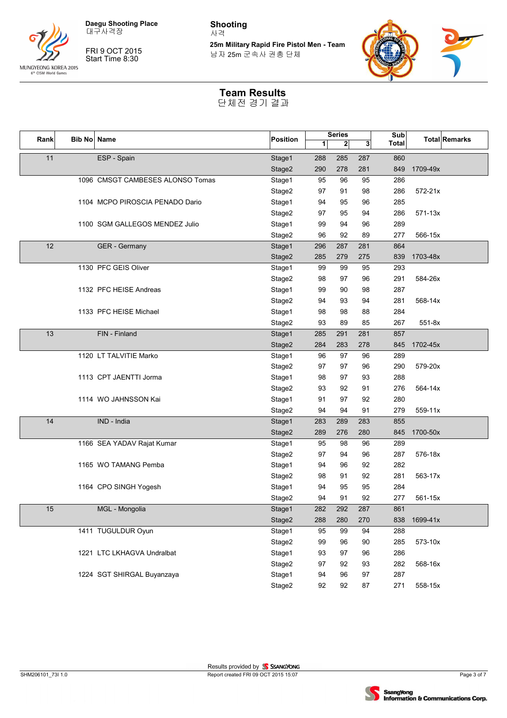



FRI 9 OCT 2015 Start Time 8:30

**Shooting** 사격

**25m Military Rapid Fire Pistol Men - Team** 남자 25m 군속사 권총 단체



### **Team Results**

| Rank | <b>Bib No Name</b> |                                  | Position |     | <b>Series</b> |                | Sub          |          | <b>Total Remarks</b> |
|------|--------------------|----------------------------------|----------|-----|---------------|----------------|--------------|----------|----------------------|
|      |                    |                                  |          | 1   | $\mathbf{2}$  | 3 <sup>1</sup> | <b>Total</b> |          |                      |
| 11   |                    | ESP - Spain                      | Stage1   | 288 | 285           | 287            | 860          |          |                      |
|      |                    |                                  | Stage2   | 290 | 278           | 281            | 849          | 1709-49x |                      |
|      |                    | 1096 CMSGT CAMBESES ALONSO Tomas | Stage1   | 95  | 96            | 95             | 286          |          |                      |
|      |                    |                                  | Stage2   | 97  | 91            | 98             | 286          | 572-21x  |                      |
|      |                    | 1104 MCPO PIROSCIA PENADO Dario  | Stage1   | 94  | 95            | 96             | 285          |          |                      |
|      |                    |                                  | Stage2   | 97  | 95            | 94             | 286          | 571-13x  |                      |
|      |                    | 1100 SGM GALLEGOS MENDEZ Julio   | Stage1   | 99  | 94            | 96             | 289          |          |                      |
|      |                    |                                  | Stage2   | 96  | 92            | 89             | 277          | 566-15x  |                      |
| 12   |                    | GER - Germany                    | Stage1   | 296 | 287           | 281            | 864          |          |                      |
|      |                    |                                  | Stage2   | 285 | 279           | 275            | 839          | 1703-48x |                      |
|      |                    | 1130 PFC GEIS Oliver             | Stage1   | 99  | 99            | 95             | 293          |          |                      |
|      |                    |                                  | Stage2   | 98  | 97            | 96             | 291          | 584-26x  |                      |
|      |                    | 1132 PFC HEISE Andreas           | Stage1   | 99  | 90            | 98             | 287          |          |                      |
|      |                    |                                  | Stage2   | 94  | 93            | 94             | 281          | 568-14x  |                      |
|      |                    | 1133 PFC HEISE Michael           | Stage1   | 98  | 98            | 88             | 284          |          |                      |
|      |                    |                                  | Stage2   | 93  | 89            | 85             | 267          | $551-8x$ |                      |
| 13   |                    | FIN - Finland                    | Stage1   | 285 | 291           | 281            | 857          |          |                      |
|      |                    |                                  | Stage2   | 284 | 283           | 278            | 845          | 1702-45x |                      |
|      |                    | 1120 LT TALVITIE Marko           | Stage1   | 96  | 97            | 96             | 289          |          |                      |
|      |                    |                                  | Stage2   | 97  | 97            | 96             | 290          | 579-20x  |                      |
|      |                    | 1113 CPT JAENTTI Jorma           | Stage1   | 98  | 97            | 93             | 288          |          |                      |
|      |                    |                                  | Stage2   | 93  | 92            | 91             | 276          | 564-14x  |                      |
|      |                    | 1114 WO JAHNSSON Kai             | Stage1   | 91  | 97            | 92             | 280          |          |                      |
|      |                    |                                  | Stage2   | 94  | 94            | 91             | 279          | 559-11x  |                      |
| 14   |                    | IND - India                      | Stage1   | 283 | 289           | 283            | 855          |          |                      |
|      |                    |                                  | Stage2   | 289 | 276           | 280            | 845          | 1700-50x |                      |
|      |                    | 1166 SEA YADAV Rajat Kumar       | Stage1   | 95  | 98            | 96             | 289          |          |                      |
|      |                    |                                  | Stage2   | 97  | 94            | 96             | 287          | 576-18x  |                      |
|      |                    | 1165 WO TAMANG Pemba             | Stage1   | 94  | 96            | 92             | 282          |          |                      |
|      |                    |                                  | Stage2   | 98  | 91            | 92             | 281          | 563-17x  |                      |
|      |                    | 1164 CPO SINGH Yogesh            | Stage1   | 94  | 95            | 95             | 284          |          |                      |
|      |                    |                                  | Stage2   | 94  | 91            | 92             | 277          | 561-15x  |                      |
| 15   |                    | MGL - Mongolia                   | Stage1   | 282 | 292           | 287            | 861          |          |                      |
|      |                    |                                  | Stage2   | 288 | 280           | 270            | 838          | 1699-41x |                      |
|      |                    | 1411 TUGULDUR Oyun               | Stage1   | 95  | 99            | 94             | 288          |          |                      |
|      |                    |                                  | Stage2   | 99  | 96            | 90             | 285          | 573-10x  |                      |
|      |                    | 1221 LTC LKHAGVA Undralbat       | Stage1   | 93  | 97            | 96             | 286          |          |                      |
|      |                    |                                  | Stage2   | 97  | 92            | 93             | 282          | 568-16x  |                      |
|      |                    | 1224 SGT SHIRGAL Buyanzaya       | Stage1   | 94  | 96            | 97             | 287          |          |                      |
|      |                    |                                  | Stage2   | 92  | 92            | 87             | 271          | 558-15x  |                      |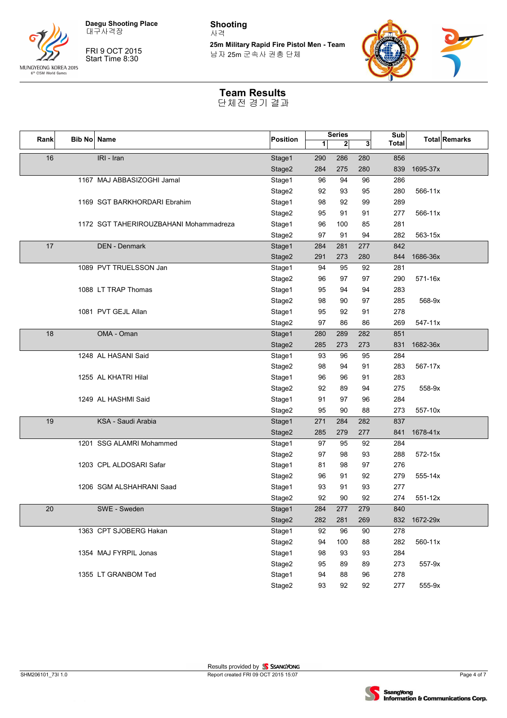

FRI 9 OCT 2015 Start Time 8:30

**Shooting** 사격

**25m Military Rapid Fire Pistol Men - Team** 남자 25m 군속사 권총 단체



### **Team Results**

| Rank | Bib No Name |                                        | Position |     | <b>Series</b> |     | Sub          |          | <b>Total Remarks</b> |
|------|-------------|----------------------------------------|----------|-----|---------------|-----|--------------|----------|----------------------|
|      |             |                                        |          | 1   | $\mathbf{2}$  | 3   | <b>Total</b> |          |                      |
| 16   |             | IRI - Iran                             | Stage1   | 290 | 286           | 280 | 856          |          |                      |
|      |             |                                        | Stage2   | 284 | 275           | 280 | 839          | 1695-37x |                      |
|      |             | 1167 MAJ ABBASIZOGHI Jamal             | Stage1   | 96  | 94            | 96  | 286          |          |                      |
|      |             |                                        | Stage2   | 92  | 93            | 95  | 280          | 566-11x  |                      |
|      |             | 1169 SGT BARKHORDARI Ebrahim           | Stage1   | 98  | 92            | 99  | 289          |          |                      |
|      |             |                                        | Stage2   | 95  | 91            | 91  | 277          | 566-11x  |                      |
|      |             | 1172 SGT TAHERIROUZBAHANI Mohammadreza | Stage1   | 96  | 100           | 85  | 281          |          |                      |
|      |             |                                        | Stage2   | 97  | 91            | 94  | 282          | 563-15x  |                      |
| 17   |             | <b>DEN - Denmark</b>                   | Stage1   | 284 | 281           | 277 | 842          |          |                      |
|      |             |                                        | Stage2   | 291 | 273           | 280 | 844          | 1686-36x |                      |
|      |             | 1089 PVT TRUELSSON Jan                 | Stage1   | 94  | 95            | 92  | 281          |          |                      |
|      |             |                                        | Stage2   | 96  | 97            | 97  | 290          | 571-16x  |                      |
|      |             | 1088 LT TRAP Thomas                    | Stage1   | 95  | 94            | 94  | 283          |          |                      |
|      |             |                                        | Stage2   | 98  | 90            | 97  | 285          | 568-9x   |                      |
|      |             | 1081 PVT GEJL Allan                    | Stage1   | 95  | 92            | 91  | 278          |          |                      |
|      |             |                                        | Stage2   | 97  | 86            | 86  | 269          | 547-11x  |                      |
| 18   |             | OMA - Oman                             | Stage1   | 280 | 289           | 282 | 851          |          |                      |
|      |             |                                        | Stage2   | 285 | 273           | 273 | 831          | 1682-36x |                      |
|      |             | 1248 AL HASANI Said                    | Stage1   | 93  | 96            | 95  | 284          |          |                      |
|      |             |                                        | Stage2   | 98  | 94            | 91  | 283          | 567-17x  |                      |
|      |             | 1255 AL KHATRI Hilal                   | Stage1   | 96  | 96            | 91  | 283          |          |                      |
|      |             |                                        | Stage2   | 92  | 89            | 94  | 275          | 558-9x   |                      |
|      |             | 1249 AL HASHMI Said                    | Stage1   | 91  | 97            | 96  | 284          |          |                      |
|      |             |                                        | Stage2   | 95  | 90            | 88  | 273          | 557-10x  |                      |
| 19   |             | KSA - Saudi Arabia                     | Stage1   | 271 | 284           | 282 | 837          |          |                      |
|      |             |                                        | Stage2   | 285 | 279           | 277 | 841          | 1678-41x |                      |
|      |             | 1201 SSG ALAMRI Mohammed               | Stage1   | 97  | 95            | 92  | 284          |          |                      |
|      |             |                                        | Stage2   | 97  | 98            | 93  | 288          | 572-15x  |                      |
|      |             | 1203 CPL ALDOSARI Safar                | Stage1   | 81  | 98            | 97  | 276          |          |                      |
|      |             |                                        | Stage2   | 96  | 91            | 92  | 279          | 555-14x  |                      |
|      |             | 1206 SGM ALSHAHRANI Saad               | Stage1   | 93  | 91            | 93  | 277          |          |                      |
|      |             |                                        | Stage2   | 92  | 90            | 92  | 274          | 551-12x  |                      |
| 20   |             | SWE - Sweden                           | Stage1   | 284 | 277           | 279 | 840          |          |                      |
|      |             |                                        | Stage2   | 282 | 281           | 269 | 832          | 1672-29x |                      |
|      |             | 1363 CPT SJOBERG Hakan                 | Stage1   | 92  | 96            | 90  | 278          |          |                      |
|      |             |                                        | Stage2   | 94  | 100           | 88  | 282          | 560-11x  |                      |
|      |             | 1354 MAJ FYRPIL Jonas                  | Stage1   | 98  | 93            | 93  | 284          |          |                      |
|      |             |                                        | Stage2   | 95  | 89            | 89  | 273          | 557-9x   |                      |
|      |             | 1355 LT GRANBOM Ted                    | Stage1   | 94  | 88            | 96  | 278          |          |                      |
|      |             |                                        | Stage2   | 93  | 92            | 92  | 277          | 555-9x   |                      |

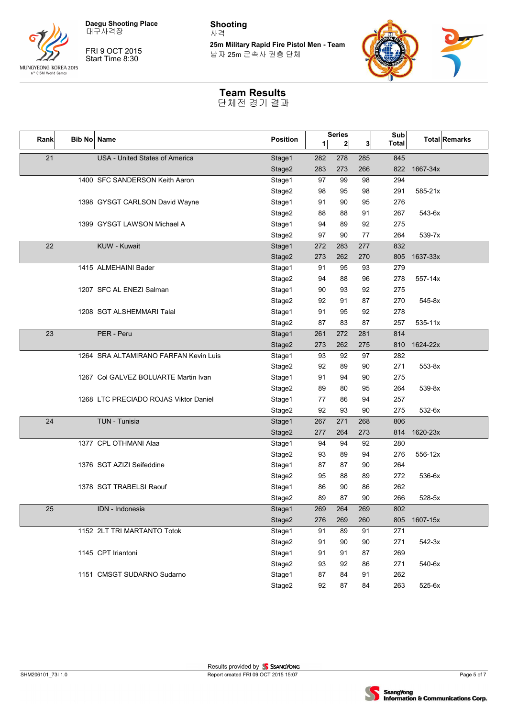



FRI 9 OCT 2015 Start Time 8:30

**Shooting** 사격

**25m Military Rapid Fire Pistol Men - Team** 남자 25m 군속사 권총 단체



### **Team Results**

| Rank | Bib No Name |                                       | Position |     | <b>Series</b> |     | Sub          |             | <b>Total Remarks</b> |
|------|-------------|---------------------------------------|----------|-----|---------------|-----|--------------|-------------|----------------------|
|      |             |                                       |          | 1   | $\mathbf{2}$  | 3   | <b>Total</b> |             |                      |
| 21   |             | <b>USA - United States of America</b> | Stage1   | 282 | 278           | 285 | 845          |             |                      |
|      |             |                                       | Stage2   | 283 | 273           | 266 | 822          | 1667-34x    |                      |
|      |             | 1400 SFC SANDERSON Keith Aaron        | Stage1   | 97  | 99            | 98  | 294          |             |                      |
|      |             |                                       | Stage2   | 98  | 95            | 98  | 291          | 585-21x     |                      |
|      |             | 1398 GYSGT CARLSON David Wayne        | Stage1   | 91  | 90            | 95  | 276          |             |                      |
|      |             |                                       | Stage2   | 88  | 88            | 91  | 267          | 543-6x      |                      |
|      |             | 1399 GYSGT LAWSON Michael A           | Stage1   | 94  | 89            | 92  | 275          |             |                      |
|      |             |                                       | Stage2   | 97  | 90            | 77  | 264          | 539-7x      |                      |
| 22   |             | KUW - Kuwait                          | Stage1   | 272 | 283           | 277 | 832          |             |                      |
|      |             |                                       | Stage2   | 273 | 262           | 270 | 805          | 1637-33x    |                      |
|      |             | 1415 ALMEHAINI Bader                  | Stage1   | 91  | 95            | 93  | 279          |             |                      |
|      |             |                                       | Stage2   | 94  | 88            | 96  | 278          | 557-14x     |                      |
|      |             | 1207 SFC AL ENEZI Salman              | Stage1   | 90  | 93            | 92  | 275          |             |                      |
|      |             |                                       | Stage2   | 92  | 91            | 87  | 270          | 545-8x      |                      |
|      |             | 1208 SGT ALSHEMMARI Talal             | Stage1   | 91  | 95            | 92  | 278          |             |                      |
|      |             |                                       | Stage2   | 87  | 83            | 87  | 257          | $535 - 11x$ |                      |
| 23   |             | PER - Peru                            | Stage1   | 261 | 272           | 281 | 814          |             |                      |
|      |             |                                       | Stage2   | 273 | 262           | 275 | 810          | 1624-22x    |                      |
|      |             | 1264 SRA ALTAMIRANO FARFAN Kevin Luis | Stage1   | 93  | 92            | 97  | 282          |             |                      |
|      |             |                                       | Stage2   | 92  | 89            | 90  | 271          | 553-8x      |                      |
|      |             | 1267 Col GALVEZ BOLUARTE Martin Ivan  | Stage1   | 91  | 94            | 90  | 275          |             |                      |
|      |             |                                       | Stage2   | 89  | 80            | 95  | 264          | 539-8x      |                      |
|      |             | 1268 LTC PRECIADO ROJAS Viktor Daniel | Stage1   | 77  | 86            | 94  | 257          |             |                      |
|      |             |                                       | Stage2   | 92  | 93            | 90  | 275          | 532-6x      |                      |
| 24   |             | TUN - Tunisia                         | Stage1   | 267 | 271           | 268 | 806          |             |                      |
|      |             |                                       | Stage2   | 277 | 264           | 273 | 814          | 1620-23x    |                      |
|      |             | 1377 CPL OTHMANI Alaa                 | Stage1   | 94  | 94            | 92  | 280          |             |                      |
|      |             |                                       | Stage2   | 93  | 89            | 94  | 276          | 556-12x     |                      |
|      |             | 1376 SGT AZIZI Seifeddine             | Stage1   | 87  | 87            | 90  | 264          |             |                      |
|      |             |                                       | Stage2   | 95  | 88            | 89  | 272          | 536-6x      |                      |
|      |             | 1378 SGT TRABELSI Raouf               | Stage1   | 86  | 90            | 86  | 262          |             |                      |
|      |             |                                       | Stage2   | 89  | 87            | 90  | 266          | 528-5x      |                      |
| 25   |             | IDN - Indonesia                       | Stage1   | 269 | 264           | 269 | 802          |             |                      |
|      |             |                                       | Stage2   | 276 | 269           | 260 | 805          | 1607-15x    |                      |
|      |             | 1152 2LT TRI MARTANTO Totok           | Stage1   | 91  | 89            | 91  | 271          |             |                      |
|      |             |                                       | Stage2   | 91  | 90            | 90  | 271          | 542-3x      |                      |
|      |             | 1145 CPT Iriantoni                    | Stage1   | 91  | 91            | 87  | 269          |             |                      |
|      |             |                                       | Stage2   | 93  | 92            | 86  | 271          | 540-6x      |                      |
|      |             | 1151 CMSGT SUDARNO Sudarno            | Stage1   | 87  | 84            | 91  | 262          |             |                      |
|      |             |                                       | Stage2   | 92  | 87            | 84  | 263          | 525-6x      |                      |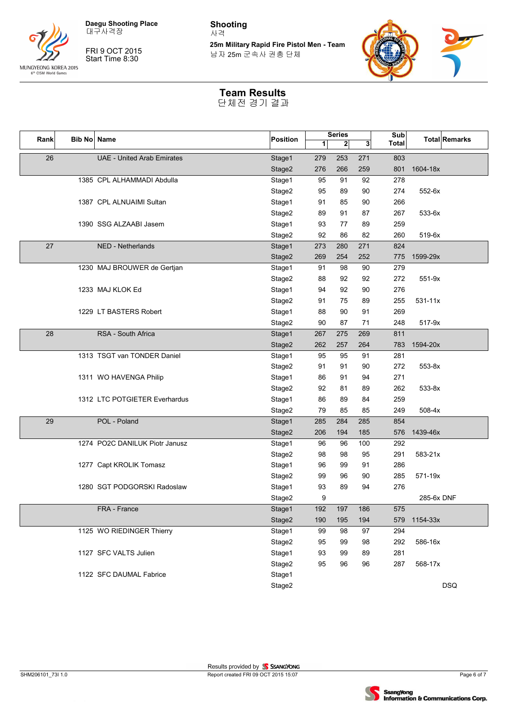



FRI 9 OCT 2015 Start Time 8:30

**Shooting** 사격

**25m Military Rapid Fire Pistol Men - Team** 남자 25m 군속사 권총 단체



### **Team Results**

| Rank | Bib No Name |                                   | Position |     | <b>Series</b> |     | Sub          |             | <b>Total Remarks</b> |
|------|-------------|-----------------------------------|----------|-----|---------------|-----|--------------|-------------|----------------------|
|      |             |                                   |          | 1   | $\mathbf{2}$  | 3   | <b>Total</b> |             |                      |
| 26   |             | <b>UAE - United Arab Emirates</b> | Stage1   | 279 | 253           | 271 | 803          |             |                      |
|      |             |                                   | Stage2   | 276 | 266           | 259 | 801          | 1604-18x    |                      |
|      |             | 1385 CPL ALHAMMADI Abdulla        | Stage1   | 95  | 91            | 92  | 278          |             |                      |
|      |             |                                   | Stage2   | 95  | 89            | 90  | 274          | 552-6x      |                      |
|      |             | 1387 CPL ALNUAIMI Sultan          | Stage1   | 91  | 85            | 90  | 266          |             |                      |
|      |             |                                   | Stage2   | 89  | 91            | 87  | 267          | 533-6x      |                      |
|      |             | 1390 SSG ALZAABI Jasem            | Stage1   | 93  | 77            | 89  | 259          |             |                      |
|      |             |                                   | Stage2   | 92  | 86            | 82  | 260          | 519-6x      |                      |
| 27   |             | NED - Netherlands                 | Stage1   | 273 | 280           | 271 | 824          |             |                      |
|      |             |                                   | Stage2   | 269 | 254           | 252 | 775          | 1599-29x    |                      |
|      |             | 1230 MAJ BROUWER de Gertjan       | Stage1   | 91  | 98            | 90  | 279          |             |                      |
|      |             |                                   | Stage2   | 88  | 92            | 92  | 272          | 551-9x      |                      |
|      |             | 1233 MAJ KLOK Ed                  | Stage1   | 94  | 92            | 90  | 276          |             |                      |
|      |             |                                   | Stage2   | 91  | 75            | 89  | 255          | $531 - 11x$ |                      |
|      |             | 1229 LT BASTERS Robert            | Stage1   | 88  | 90            | 91  | 269          |             |                      |
|      |             |                                   | Stage2   | 90  | 87            | 71  | 248          | 517-9x      |                      |
| 28   |             | RSA - South Africa                | Stage1   | 267 | 275           | 269 | 811          |             |                      |
|      |             |                                   | Stage2   | 262 | 257           | 264 | 783          | 1594-20x    |                      |
|      |             | 1313 TSGT van TONDER Daniel       | Stage1   | 95  | 95            | 91  | 281          |             |                      |
|      |             |                                   | Stage2   | 91  | 91            | 90  | 272          | 553-8x      |                      |
|      |             | 1311 WO HAVENGA Philip            | Stage1   | 86  | 91            | 94  | 271          |             |                      |
|      |             |                                   | Stage2   | 92  | 81            | 89  | 262          | 533-8x      |                      |
|      |             | 1312 LTC POTGIETER Everhardus     | Stage1   | 86  | 89            | 84  | 259          |             |                      |
|      |             |                                   | Stage2   | 79  | 85            | 85  | 249          | 508-4x      |                      |
| 29   |             | POL - Poland                      | Stage1   | 285 | 284           | 285 | 854          |             |                      |
|      |             |                                   | Stage2   | 206 | 194           | 185 | 576          | 1439-46x    |                      |
|      |             | 1274 PO2C DANILUK Piotr Janusz    | Stage1   | 96  | 96            | 100 | 292          |             |                      |
|      |             |                                   | Stage2   | 98  | 98            | 95  | 291          | 583-21x     |                      |
|      |             | 1277 Capt KROLIK Tomasz           | Stage1   | 96  | 99            | 91  | 286          |             |                      |
|      |             |                                   | Stage2   | 99  | 96            | 90  | 285          | 571-19x     |                      |
|      |             | 1280 SGT PODGORSKI Radoslaw       | Stage1   | 93  | 89            | 94  | 276          |             |                      |
|      |             |                                   | Stage2   | 9   |               |     |              | 285-6x DNF  |                      |
|      |             | FRA - France                      | Stage1   | 192 | 197           | 186 | 575          |             |                      |
|      |             |                                   | Stage2   | 190 | 195           | 194 | 579          | 1154-33x    |                      |
|      |             | 1125 WO RIEDINGER Thierry         | Stage1   | 99  | 98            | 97  | 294          |             |                      |
|      |             |                                   | Stage2   | 95  | 99            | 98  | 292          | 586-16x     |                      |
|      |             | 1127 SFC VALTS Julien             | Stage1   | 93  | 99            | 89  | 281          |             |                      |
|      |             |                                   | Stage2   | 95  | 96            | 96  | 287          | 568-17x     |                      |
|      |             | 1122 SFC DAUMAL Fabrice           | Stage1   |     |               |     |              |             |                      |
|      |             |                                   | Stage2   |     |               |     |              |             | <b>DSQ</b>           |